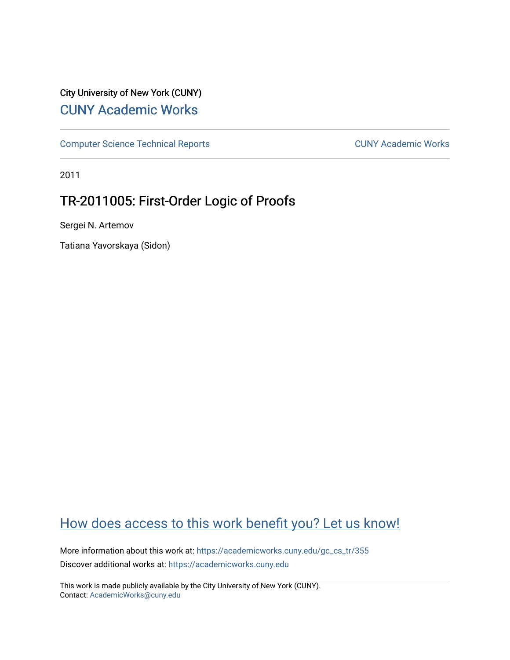# City University of New York (CUNY) [CUNY Academic Works](https://academicworks.cuny.edu/)

[Computer Science Technical Reports](https://academicworks.cuny.edu/gc_cs_tr) **CUNY Academic Works** CUNY Academic Works

2011

# TR-2011005: First-Order Logic of Proofs

Sergei N. Artemov

Tatiana Yavorskaya (Sidon)

# [How does access to this work benefit you? Let us know!](http://ols.cuny.edu/academicworks/?ref=https://academicworks.cuny.edu/gc_cs_tr/355)

More information about this work at: https://academicworks.cuny.edu/gc\_cs\_tr/355 Discover additional works at: [https://academicworks.cuny.edu](https://academicworks.cuny.edu/?)

This work is made publicly available by the City University of New York (CUNY). Contact: [AcademicWorks@cuny.edu](mailto:AcademicWorks@cuny.edu)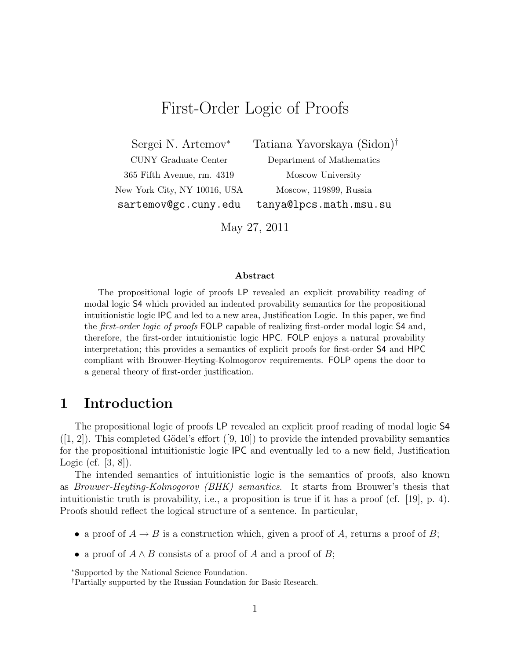# First-Order Logic of Proofs

CUNY Graduate Center Department of Mathematics 365 Fifth Avenue, rm. 4319 Moscow University New York City, NY 10016, USA Moscow, 119899, Russia

Sergei N. Artemov<sup>∗</sup> Tatiana Yavorskaya (Sidon)†

sartemov@gc.cuny.edu tanya@lpcs.math.msu.su

May 27, 2011

### Abstract

The propositional logic of proofs LP revealed an explicit provability reading of modal logic S4 which provided an indented provability semantics for the propositional intuitionistic logic IPC and led to a new area, Justification Logic. In this paper, we find the *first-order logic of proofs* FOLP capable of realizing first-order modal logic S4 and, therefore, the first-order intuitionistic logic HPC. FOLP enjoys a natural provability interpretation; this provides a semantics of explicit proofs for first-order S4 and HPC compliant with Brouwer-Heyting-Kolmogorov requirements. FOLP opens the door to a general theory of first-order justification.

# 1 Introduction

The propositional logic of proofs LP revealed an explicit proof reading of modal logic S4  $([1, 2])$ . This completed Gödel's effort  $([9, 10])$  to provide the intended provability semantics for the propositional intuitionistic logic IPC and eventually led to a new field, Justification Logic (cf. [3, 8]).

The intended semantics of intuitionistic logic is the semantics of proofs, also known as Brouwer-Heyting-Kolmogorov (BHK) semantics. It starts from Brouwer's thesis that intuitionistic truth is provability, i.e., a proposition is true if it has a proof (cf. [19], p. 4). Proofs should reflect the logical structure of a sentence. In particular,

- a proof of  $A \rightarrow B$  is a construction which, given a proof of A, returns a proof of B;
- a proof of  $A \wedge B$  consists of a proof of A and a proof of B;

<sup>∗</sup>Supported by the National Science Foundation.

<sup>†</sup>Partially supported by the Russian Foundation for Basic Research.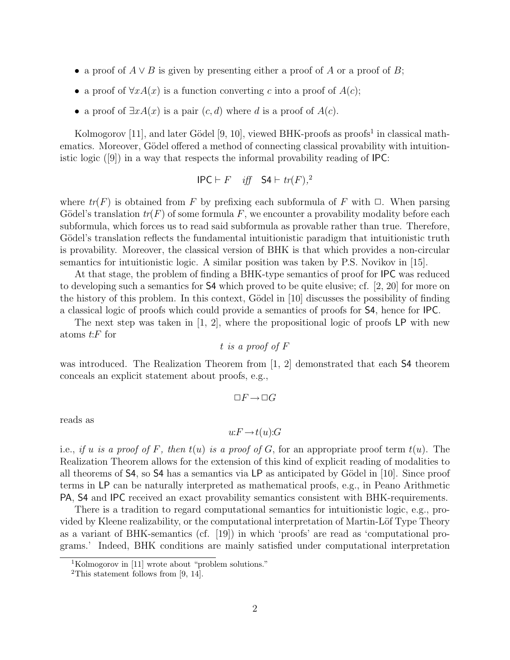- a proof of  $A \vee B$  is given by presenting either a proof of A or a proof of B;
- a proof of  $\forall x A(x)$  is a function converting c into a proof of  $A(c)$ ;
- a proof of  $\exists x A(x)$  is a pair  $(c, d)$  where d is a proof of  $A(c)$ .

Kolmogorov [11], and later Gödel [9, 10], viewed BHK-proofs as proofs<sup>1</sup> in classical mathematics. Moreover, Gödel offered a method of connecting classical provability with intuitionistic logic ([9]) in a way that respects the informal provability reading of IPC:

$$
\mathsf{IPC} \vdash F \quad \textit{iff} \quad \mathsf{S4} \vdash \mathit{tr}(F).^2
$$

where  $tr(F)$  is obtained from F by prefixing each subformula of F with  $\Box$ . When parsing Gödel's translation  $tr(F)$  of some formula F, we encounter a provability modality before each subformula, which forces us to read said subformula as provable rather than true. Therefore, Gödel's translation reflects the fundamental intuitionistic paradigm that intuitionistic truth is provability. Moreover, the classical version of BHK is that which provides a non-circular semantics for intuitionistic logic. A similar position was taken by P.S. Novikov in [15].

At that stage, the problem of finding a BHK-type semantics of proof for **IPC** was reduced to developing such a semantics for S4 which proved to be quite elusive; cf. [2, 20] for more on the history of this problem. In this context, Gödel in  $[10]$  discusses the possibility of finding a classical logic of proofs which could provide a semantics of proofs for S4, hence for IPC.

The next step was taken in [1, 2], where the propositional logic of proofs LP with new atoms  $t$ : $F$  for

$$
t
$$
 is a proof of  $F$ 

was introduced. The Realization Theorem from [1, 2] demonstrated that each S4 theorem conceals an explicit statement about proofs, e.g.,

$$
\Box F \mathop{\rightarrow} \Box G
$$

reads as

$$
u: F \to t(u): G
$$

i.e., if u is a proof of F, then  $t(u)$  is a proof of G, for an appropriate proof term  $t(u)$ . The Realization Theorem allows for the extension of this kind of explicit reading of modalities to all theorems of  $\mathsf{S4}$ , so  $\mathsf{S4}$  has a semantics via LP as anticipated by Gödel in [10]. Since proof terms in LP can be naturally interpreted as mathematical proofs, e.g., in Peano Arithmetic PA, S4 and IPC received an exact provability semantics consistent with BHK-requirements.

There is a tradition to regard computational semantics for intuitionistic logic, e.g., provided by Kleene realizability, or the computational interpretation of Martin-Löf Type Theory as a variant of BHK-semantics (cf. [19]) in which 'proofs' are read as 'computational programs.' Indeed, BHK conditions are mainly satisfied under computational interpretation

<sup>1</sup>Kolmogorov in [11] wrote about "problem solutions."

<sup>&</sup>lt;sup>2</sup>This statement follows from [9, 14].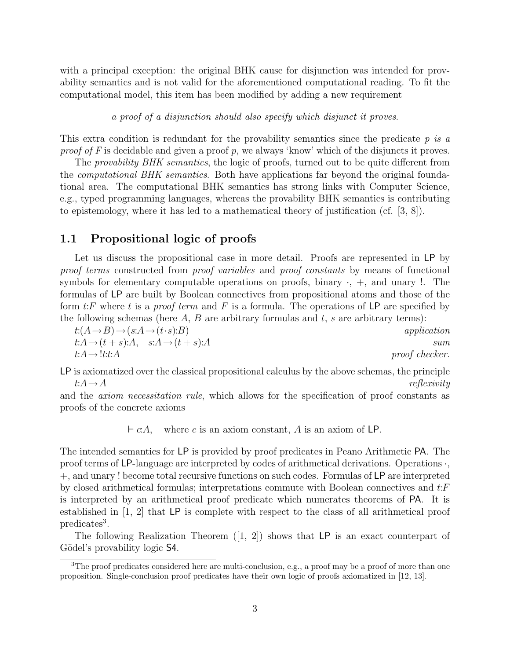with a principal exception: the original BHK cause for disjunction was intended for provability semantics and is not valid for the aforementioned computational reading. To fit the computational model, this item has been modified by adding a new requirement

a proof of a disjunction should also specify which disjunct it proves.

This extra condition is redundant for the provability semantics since the predicate  $p$  is a proof of F is decidable and given a proof p, we always 'know' which of the disjuncts it proves.

The *provability BHK semantics*, the logic of proofs, turned out to be quite different from the *computational BHK semantics*. Both have applications far beyond the original foundational area. The computational BHK semantics has strong links with Computer Science, e.g., typed programming languages, whereas the provability BHK semantics is contributing to epistemology, where it has led to a mathematical theory of justification (cf. [3, 8]).

### 1.1 Propositional logic of proofs

Let us discuss the propositional case in more detail. Proofs are represented in LP by proof terms constructed from proof variables and proof constants by means of functional symbols for elementary computable operations on proofs, binary  $\cdot$ ,  $+$ , and unary  $\cdot$ . The formulas of LP are built by Boolean connectives from propositional atoms and those of the form t: F where t is a proof term and F is a formula. The operations of  $\mathsf{LP}$  are specified by the following schemas (here  $A, B$  are arbitrary formulas and  $t, s$  are arbitrary terms):

 $t:(A\rightarrow B)\rightarrow (s:A\rightarrow (t\cdot s):B)$  application  $t:A\rightarrow(t+s):A, \quad s:A\rightarrow(t+s):A$  sum  $t:A \to \text{l}: t:A$  proof checker.

LP is axiomatized over the classical propositional calculus by the above schemas, the principle  $t:A\to A$  reflexivity

and the axiom necessitation rule, which allows for the specification of proof constants as proofs of the concrete axioms

 $\vdash c:A$ , where c is an axiom constant, A is an axiom of LP.

The intended semantics for LP is provided by proof predicates in Peano Arithmetic PA. The proof terms of LP-language are interpreted by codes of arithmetical derivations. Operations ·, +, and unary ! become total recursive functions on such codes. Formulas of LP are interpreted by closed arithmetical formulas; interpretations commute with Boolean connectives and t:F is interpreted by an arithmetical proof predicate which numerates theorems of PA. It is established in [1, 2] that LP is complete with respect to the class of all arithmetical proof predicates<sup>3</sup>.

The following Realization Theorem  $(1, 2)$  shows that LP is an exact counterpart of Gödel's provability logic **S4**.

<sup>&</sup>lt;sup>3</sup>The proof predicates considered here are multi-conclusion, e.g., a proof may be a proof of more than one proposition. Single-conclusion proof predicates have their own logic of proofs axiomatized in [12, 13].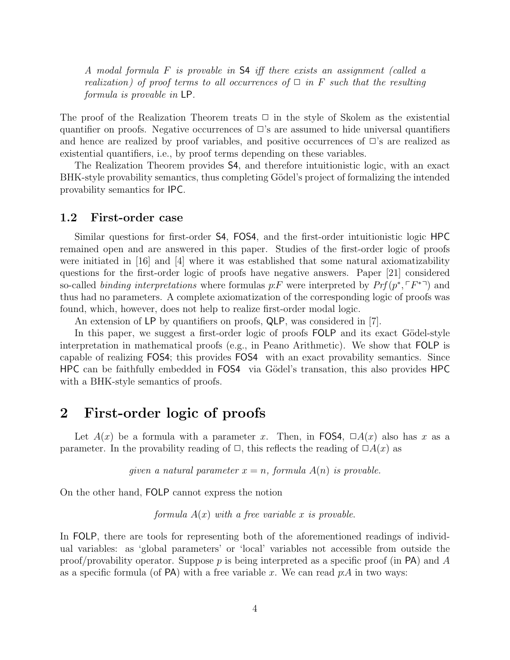A modal formula F is provable in S4 iff there exists an assignment (called a realization) of proof terms to all occurrences of  $\Box$  in F such that the resulting formula is provable in LP.

The proof of the Realization Theorem treats  $\Box$  in the style of Skolem as the existential quantifier on proofs. Negative occurrences of  $\Box$ 's are assumed to hide universal quantifiers and hence are realized by proof variables, and positive occurrences of  $\Box$ 's are realized as existential quantifiers, i.e., by proof terms depending on these variables.

The Realization Theorem provides S4, and therefore intuitionistic logic, with an exact BHK-style provability semantics, thus completing Gödel's project of formalizing the intended provability semantics for IPC.

### 1.2 First-order case

Similar questions for first-order S4, FOS4, and the first-order intuitionistic logic HPC remained open and are answered in this paper. Studies of the first-order logic of proofs were initiated in [16] and [4] where it was established that some natural axiomatizability questions for the first-order logic of proofs have negative answers. Paper [21] considered so-called binding interpretations where formulas p:F were interpreted by  $Prf(p^*, \ulcorner F^{*} \urcorner)$  and thus had no parameters. A complete axiomatization of the corresponding logic of proofs was found, which, however, does not help to realize first-order modal logic.

An extension of LP by quantifiers on proofs, QLP, was considered in [7].

In this paper, we suggest a first-order logic of proofs FOLP and its exact Gödel-style interpretation in mathematical proofs (e.g., in Peano Arithmetic). We show that FOLP is capable of realizing FOS4; this provides FOS4 with an exact provability semantics. Since HPC can be faithfully embedded in FOS4 via Gödel's transation, this also provides HPC with a BHK-style semantics of proofs.

# 2 First-order logic of proofs

Let  $A(x)$  be a formula with a parameter x. Then, in FOS4,  $\Box A(x)$  also has x as a parameter. In the provability reading of  $\Box$ , this reflects the reading of  $\Box A(x)$  as

given a natural parameter  $x = n$ , formula  $A(n)$  is provable.

On the other hand, FOLP cannot express the notion

formula  $A(x)$  with a free variable x is provable.

In FOLP, there are tools for representing both of the aforementioned readings of individual variables: as 'global parameters' or 'local' variables not accessible from outside the proof/provability operator. Suppose p is being interpreted as a specific proof (in  $PA$ ) and A as a specific formula (of PA) with a free variable x. We can read  $p:A$  in two ways: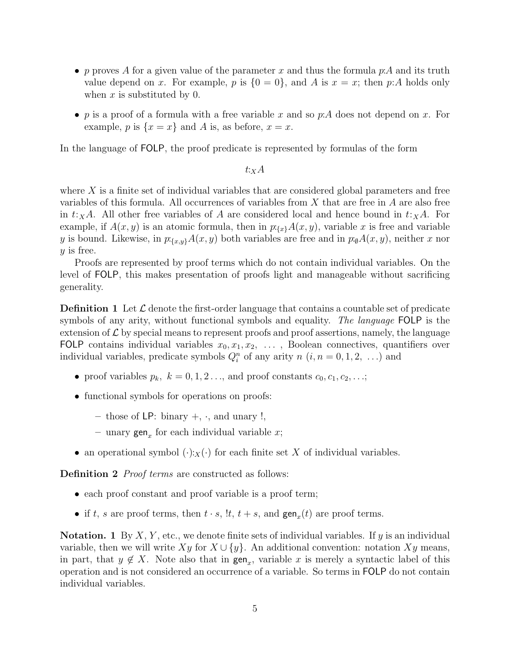- p proves A for a given value of the parameter x and thus the formula p:A and its truth value depend on x. For example, p is  $\{0 = 0\}$ , and A is  $x = x$ ; then p:A holds only when  $x$  is substituted by 0.
- p is a proof of a formula with a free variable x and so p:A does not depend on x. For example, p is  $\{x = x\}$  and A is, as before,  $x = x$ .

In the language of FOLP, the proof predicate is represented by formulas of the form

 $t:_{X}A$ 

where  $X$  is a finite set of individual variables that are considered global parameters and free variables of this formula. All occurrences of variables from  $X$  that are free in  $A$  are also free in  $t:_{X}A$ . All other free variables of A are considered local and hence bound in  $t:_{X}A$ . For example, if  $A(x, y)$  is an atomic formula, then in  $p_{\{x\}}A(x, y)$ , variable x is free and variable y is bound. Likewise, in  $p:_{\{x,y\}} A(x, y)$  both variables are free and in  $p:_{\emptyset} A(x, y)$ , neither x nor  $y$  is free.

Proofs are represented by proof terms which do not contain individual variables. On the level of FOLP, this makes presentation of proofs light and manageable without sacrificing generality.

**Definition 1** Let  $\mathcal{L}$  denote the first-order language that contains a countable set of predicate symbols of any arity, without functional symbols and equality. The language FOLP is the extension of  $\mathcal L$  by special means to represent proofs and proof assertions, namely, the language FOLP contains individual variables  $x_0, x_1, x_2, \ldots$ , Boolean connectives, quantifiers over individual variables, predicate symbols  $Q_i^n$  of any arity  $n$   $(i, n = 0, 1, 2, ...)$  and

- proof variables  $p_k$ ,  $k = 0, 1, 2, \ldots$ , and proof constants  $c_0, c_1, c_2, \ldots$ ;
- functional symbols for operations on proofs:
	- those of LP: binary  $+$ ,  $\cdot$ , and unary  $!,$
	- unary  $\text{gen}_x$  for each individual variable x;
- an operational symbol  $(\cdot)$ : $_X(\cdot)$  for each finite set X of individual variables.

**Definition 2** Proof terms are constructed as follows:

- each proof constant and proof variable is a proof term;
- if t, s are proof terms, then  $t \cdot s$ ,  $'t$ ,  $t + s$ , and  $\text{gen}_x(t)$  are proof terms.

**Notation.** 1 By X, Y, etc., we denote finite sets of individual variables. If y is an individual variable, then we will write  $Xy$  for  $X \cup \{y\}$ . An additional convention: notation  $Xy$  means, in part, that  $y \notin X$ . Note also that in  $\text{gen}_x$ , variable x is merely a syntactic label of this operation and is not considered an occurrence of a variable. So terms in FOLP do not contain individual variables.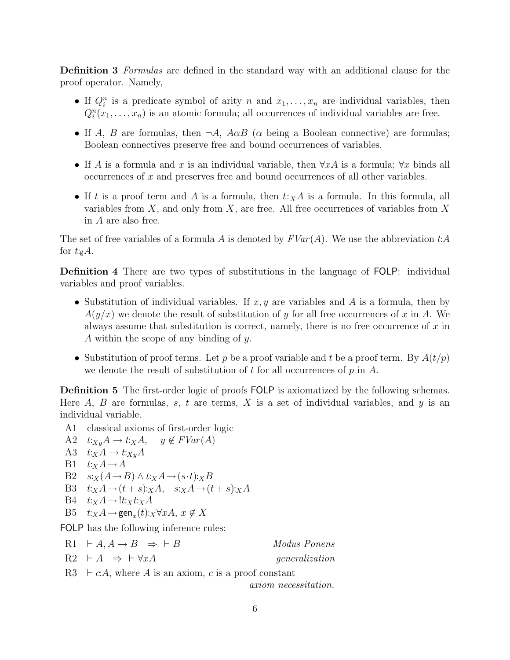Definition 3 Formulas are defined in the standard way with an additional clause for the proof operator. Namely,

- If  $Q_i^n$  is a predicate symbol of arity n and  $x_1, \ldots, x_n$  are individual variables, then  $Q_i^n(x_1, \ldots, x_n)$  is an atomic formula; all occurrences of individual variables are free.
- If A, B are formulas, then  $\neg A$ ,  $A \alpha B$  ( $\alpha$  being a Boolean connective) are formulas; Boolean connectives preserve free and bound occurrences of variables.
- If A is a formula and x is an individual variable, then  $\forall x \Delta$  is a formula;  $\forall x$  binds all occurrences of x and preserves free and bound occurrences of all other variables.
- If t is a proof term and A is a formula, then  $t:_{X}A$  is a formula. In this formula, all variables from  $X$ , and only from  $X$ , are free. All free occurrences of variables from  $X$ in A are also free.

The set of free variables of a formula A is denoted by  $FVar(A)$ . We use the abbreviation t:A for  $t:_{\emptyset}A$ .

Definition 4 There are two types of substitutions in the language of FOLP: individual variables and proof variables.

- Substitution of individual variables. If  $x, y$  are variables and A is a formula, then by  $A(y/x)$  we denote the result of substitution of y for all free occurrences of x in A. We always assume that substitution is correct, namely, there is no free occurrence of  $x$  in A within the scope of any binding of y.
- Substitution of proof terms. Let p be a proof variable and t be a proof term. By  $A(t/p)$ we denote the result of substitution of t for all occurrences of  $p$  in  $A$ .

Definition 5 The first-order logic of proofs FOLP is axiomatized by the following schemas. Here  $A$ ,  $B$  are formulas,  $s$ ,  $t$  are terms,  $X$  is a set of individual variables, and  $y$  is an individual variable.

- A1 classical axioms of first-order logic
- A2  $t:_{X_y} A \to t:_{X} A$ ,  $y \notin FVar(A)$ A3  $t:xA \rightarrow t:x_yA$ B1  $t:_{X}A \rightarrow A$ B2  $s:_{X}(A\rightarrow B)\wedge t:_{X}A\rightarrow (s\cdot t):_{X}B$ B3  $t:xA \rightarrow (t+s):_XA$ ,  $s:xA \rightarrow (t+s):_XA$  $B4$   $t:_{X}A \rightarrow$   $t:_{X}t:_{X}A$ B5  $t:_{X}A \rightarrow \text{gen}_{x}(t):_{X}\forall xA, x \notin X$ FOLP has the following inference rules:

 $R1 \vdash A, A \rightarrow B \Rightarrow \vdash B$  Modus Ponens  $R2 \rightarrow \rightarrow \forall xA$  generalization R3  $\vdash c:A$ , where A is an axiom, c is a proof constant

axiom necessitation.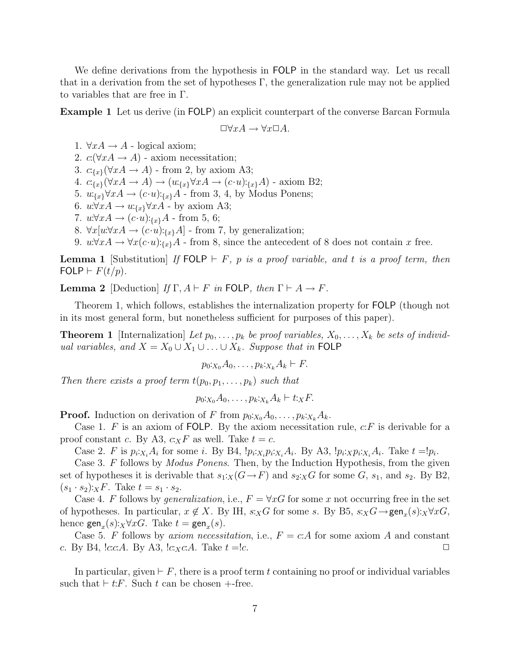We define derivations from the hypothesis in FOLP in the standard way. Let us recall that in a derivation from the set of hypotheses  $\Gamma$ , the generalization rule may not be applied to variables that are free in Γ.

Example 1 Let us derive (in FOLP) an explicit counterpart of the converse Barcan Formula

$$
\Box \forall x A \rightarrow \forall x \Box A.
$$

1.  $\forall x A \rightarrow A$  - logical axiom;

2.  $c(\forall x A \rightarrow A)$  - axiom necessitation;

3.  $c_{\{x\}}(\forall x A \rightarrow A)$  - from 2, by axiom A3;

4.  $c_{\{x\}}(\forall x A \rightarrow A) \rightarrow (u_{\{x\}} \forall x A \rightarrow (c \cdot u):_{\{x\}} A)$  - axiom B2;

5.  $w_{\{x\}} \forall x A \rightarrow (c \cdot u):_{\{x\}} A$  - from 3, 4, by Modus Ponens;

6.  $u \forall x A \rightarrow u_{\{x\}} \forall x A$  - by axiom A3;

7.  $u \forall x A \rightarrow (c \cdot u):_{\{x\}} A$  - from 5, 6;

8.  $\forall x[u:\forall x A \rightarrow (c \cdot u):_{\{x\}} A]$  - from 7, by generalization;

9.  $u \forall x A \rightarrow \forall x (c \cdot u):_{\{x\}} A$  - from 8, since the antecedent of 8 does not contain x free.

**Lemma 1** [Substitution] If FOLP  $\vdash$  F, p is a proof variable, and t is a proof term, then FOLP  $\vdash F(t/p)$ .

**Lemma 2** [Deduction] If  $\Gamma$ ,  $A \vdash F$  in FOLP, then  $\Gamma \vdash A \rightarrow F$ .

Theorem 1, which follows, establishes the internalization property for FOLP (though not in its most general form, but nonetheless sufficient for purposes of this paper).

**Theorem 1** [Internalization] Let  $p_0, \ldots, p_k$  be proof variables,  $X_0, \ldots, X_k$  be sets of individual variables, and  $X = X_0 \cup X_1 \cup \ldots \cup X_k$ . Suppose that in FOLP

$$
p_0:_{X_0} A_0, \ldots, p_k:_{X_k} A_k \vdash F.
$$

Then there exists a proof term  $t(p_0, p_1, \ldots, p_k)$  such that

$$
p_0:_{X_0}A_0,\ldots,p_k:_{X_k}A_k \vdash t:_{X}F.
$$

**Proof.** Induction on derivation of F from  $p_0:_{X_0} A_0, \ldots, p_k:_{X_k} A_k$ .

Case 1. F is an axiom of FOLP. By the axiom necessitation rule,  $c.F$  is derivable for a proof constant c. By A3,  $c_XF$  as well. Take  $t = c$ .

Case 2. F is  $p_i x_i A_i$  for some i. By B4,  $! p_i x_i p_i x_i A_i$ . By A3,  $! p_i x_i p_i x_i A_i$ . Take  $t = ! p_i$ .

Case 3. F follows by *Modus Ponens*. Then, by the Induction Hypothesis, from the given set of hypotheses it is derivable that  $s_1:_X(G\to F)$  and  $s_2:_XG$  for some G,  $s_1$ , and  $s_2$ . By B2,  $(s_1 \cdot s_2):_X F$ . Take  $t = s_1 \cdot s_2$ .

Case 4. F follows by *generalization*, i.e.,  $F = \forall x G$  for some x not occurring free in the set of hypotheses. In particular,  $x \notin X$ . By IH,  $s:_{X}G$  for some s. By B5,  $s:_{X}G \rightarrow \text{gen}_{x}(s):_{X}\forall xG$ , hence  $\textsf{gen}_x(s):_X \forall x G$ . Take  $t = \textsf{gen}_x(s)$ .

Case 5. F follows by *axiom necessitation*, i.e.,  $F = cA$  for some axiom A and constant c. By B4,  $!c.c.A.$  By A3,  $!c.x.c.A.$  Take  $t = !c.$ 

In particular, given  $\vdash F$ , there is a proof term t containing no proof or individual variables such that  $\vdash t$ : F. Such t can be chosen  $+$ -free.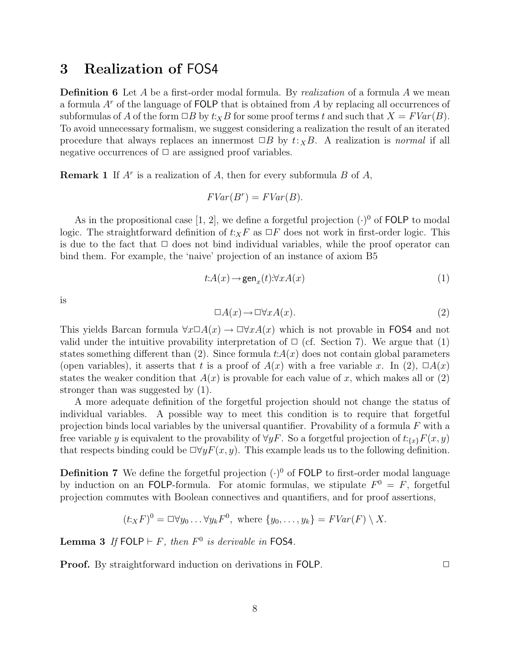# 3 Realization of FOS4

**Definition 6** Let A be a first-order modal formula. By *realization* of a formula A we mean a formula  $A<sup>r</sup>$  of the language of FOLP that is obtained from A by replacing all occurrences of subformulas of A of the form  $\Box B$  by  $t:_{X}B$  for some proof terms t and such that  $X = FVar(B)$ . To avoid unnecessary formalism, we suggest considering a realization the result of an iterated procedure that always replaces an innermost  $\Box B$  by  $t:_{X}B$ . A realization is normal if all negative occurrences of  $\Box$  are assigned proof variables.

**Remark 1** If  $A^r$  is a realization of A, then for every subformula B of A,

$$
FVar(B^r) = FVar(B).
$$

As in the propositional case [1, 2], we define a forgetful projection  $(\cdot)^0$  of FOLP to modal logic. The straightforward definition of  $t:_{X}F$  as  $\Box F$  does not work in first-order logic. This is due to the fact that  $\Box$  does not bind individual variables, while the proof operator can bind them. For example, the 'naive' projection of an instance of axiom B5

$$
t: A(x) \to \text{gen}_x(t): \forall x A(x) \tag{1}
$$

is

$$
\Box A(x) \to \Box \forall x A(x). \tag{2}
$$

This yields Barcan formula  $\forall x \Box A(x) \rightarrow \Box \forall x A(x)$  which is not provable in FOS4 and not valid under the intuitive provability interpretation of  $\Box$  (cf. Section 7). We argue that (1) states something different than (2). Since formula  $t:A(x)$  does not contain global parameters (open variables), it asserts that t is a proof of  $A(x)$  with a free variable x. In (2),  $\Box A(x)$ states the weaker condition that  $A(x)$  is provable for each value of x, which makes all or (2) stronger than was suggested by (1).

A more adequate definition of the forgetful projection should not change the status of individual variables. A possible way to meet this condition is to require that forgetful projection binds local variables by the universal quantifier. Provability of a formula  $F$  with a free variable y is equivalent to the provability of  $\forall y F$ . So a forgetful projection of  $t:_{\{x\}}F(x, y)$ that respects binding could be  $\Box \forall y F(x, y)$ . This example leads us to the following definition.

**Definition 7** We define the forgetful projection  $(\cdot)^0$  of FOLP to first-order modal language by induction on an FOLP-formula. For atomic formulas, we stipulate  $F^0 = F$ , forgetful projection commutes with Boolean connectives and quantifiers, and for proof assertions,

$$
(t_XF)^0 = \Box \forall y_0 \dots \forall y_k F^0, \text{ where } \{y_0, \dots, y_k\} = FVar(F) \setminus X.
$$

**Lemma 3** If  $FOLP \vdash F$ , then  $F^0$  is derivable in FOS4.

**Proof.** By straightforward induction on derivations in FOLP. □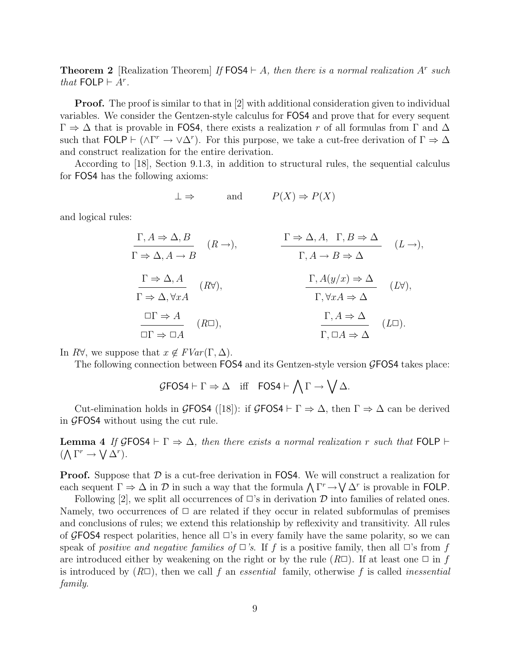**Theorem 2** [Realization Theorem] If  $FOS4 \vdash A$ , then there is a normal realization A<sup>r</sup> such that  $\textsf{FOLP} \vdash A^r$ .

**Proof.** The proof is similar to that in [2] with additional consideration given to individual variables. We consider the Gentzen-style calculus for FOS4 and prove that for every sequent  $\Gamma \Rightarrow \Delta$  that is provable in FOS4, there exists a realization r of all formulas from Γ and  $\Delta$ such that FOLP  $\vdash (\wedge \Gamma^r \to \vee \Delta^r)$ . For this purpose, we take a cut-free derivation of  $\Gamma \Rightarrow \Delta$ and construct realization for the entire derivation.

According to [18], Section 9.1.3, in addition to structural rules, the sequential calculus for FOS4 has the following axioms:

$$
\bot \Rightarrow
$$
 and  $P(X) \Rightarrow P(X)$ 

and logical rules:

$$
\Gamma, A \Rightarrow \Delta, B
$$
\n
$$
\Gamma \Rightarrow \Delta, A \to B
$$
\n
$$
\Gamma \Rightarrow \Delta, A \to B
$$
\n
$$
\Gamma \Rightarrow \Delta, A \to B
$$
\n
$$
\Gamma \Rightarrow \Delta, A
$$
\n
$$
\Gamma \Rightarrow \Delta, \forall x A
$$
\n
$$
\Gamma \Rightarrow \Delta, \forall x A
$$
\n
$$
\Gamma \Rightarrow \Delta, \forall x A
$$
\n
$$
\Gamma, \forall x A \Rightarrow \Delta
$$
\n
$$
\Gamma, A \Rightarrow \Delta
$$
\n
$$
\Gamma, \forall x A \Rightarrow \Delta
$$
\n
$$
\Gamma, \Delta \Rightarrow \Delta
$$
\n
$$
\Gamma, \Delta \Rightarrow \Delta
$$
\n
$$
\Gamma, \Delta \Rightarrow \Delta
$$
\n
$$
\Gamma, \Delta \Rightarrow \Delta
$$
\n
$$
\Gamma, \Delta \Rightarrow \Delta
$$
\n
$$
\Gamma, \Delta \Rightarrow \Delta
$$
\n
$$
\Gamma, \Delta \Rightarrow \Delta
$$
\n
$$
\Gamma, \Delta \Rightarrow \Delta
$$
\n
$$
\Gamma, \Delta \Rightarrow \Delta
$$

In  $R\forall$ , we suppose that  $x \notin FVar(\Gamma, \Delta)$ .

The following connection between FOS4 and its Gentzen-style version GFOS4 takes place:

$$
\mathcal{G} \text{FOS4} \vdash \Gamma \Rightarrow \Delta \quad \text{iff} \quad \text{FOS4} \vdash \bigwedge \Gamma \to \bigvee \Delta.
$$

Cut-elimination holds in GFOS4 ([18]): if GFOS4  $\vdash \Gamma \Rightarrow \Delta$ , then  $\Gamma \Rightarrow \Delta$  can be derived in GFOS4 without using the cut rule.

**Lemma 4** If GFOS4  $\vdash \Gamma \Rightarrow \Delta$ , then there exists a normal realization r such that FOLP  $\vdash$  $(\bigwedge \Gamma^r \to \bigvee \Delta^r).$ 

**Proof.** Suppose that  $\mathcal{D}$  is a cut-free derivation in FOS4. We will construct a realization for each sequent  $\Gamma \Rightarrow \Delta$  in  $\mathcal D$  in such a way that the formula  $\bigwedge \Gamma^r \to \bigvee \Delta^r$  is provable in FOLP.

Following [2], we split all occurrences of  $\Box$ 's in derivation  $\mathcal D$  into families of related ones. Namely, two occurrences of  $\Box$  are related if they occur in related subformulas of premises and conclusions of rules; we extend this relationship by reflexivity and transitivity. All rules of GFOS4 respect polarities, hence all  $\Box$ 's in every family have the same polarity, so we can speak of positive and negative families of  $\Box$ 's. If f is a positive family, then all  $\Box$ 's from f are introduced either by weakening on the right or by the rule  $(R\Box)$ . If at least one  $\Box$  in f is introduced by  $(R\Box)$ , then we call f an *essential* family, otherwise f is called *inessential* family.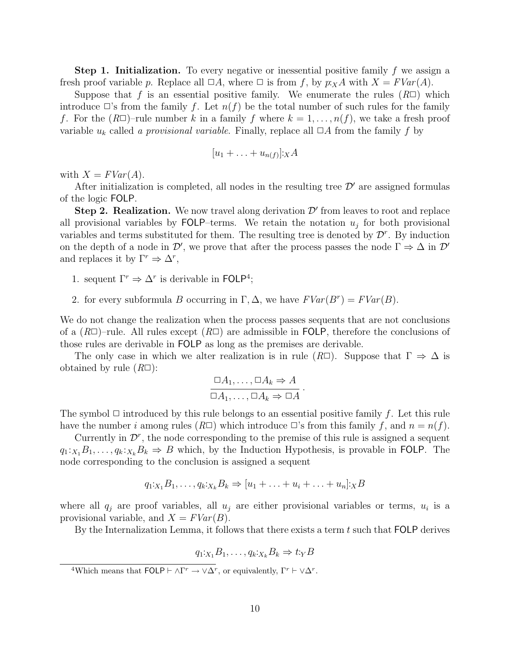**Step 1. Initialization.** To every negative or inessential positive family f we assign a fresh proof variable p. Replace all  $\Box A$ , where  $\Box$  is from f, by  $p: xA$  with  $X = FVar(A)$ .

Suppose that f is an essential positive family. We enumerate the rules  $(R\Box)$  which introduce  $\Box$ 's from the family f. Let  $n(f)$  be the total number of such rules for the family f. For the  $(R\Box)$ -rule number k in a family f where  $k = 1, \ldots, n(f)$ , we take a fresh proof variable  $u_k$  called a provisional variable. Finally, replace all  $\Box A$  from the family f by

$$
[u_1 + \ldots + u_{n(f)}] : X A
$$

with  $X = FVar(A)$ .

After initialization is completed, all nodes in the resulting tree  $\mathcal{D}'$  are assigned formulas of the logic FOLP.

Step 2. Realization. We now travel along derivation  $\mathcal{D}'$  from leaves to root and replace all provisional variables by  $FOLP$ -terms. We retain the notation  $u_j$  for both provisional variables and terms substituted for them. The resulting tree is denoted by  $\mathcal{D}^r$ . By induction on the depth of a node in  $\mathcal{D}'$ , we prove that after the process passes the node  $\Gamma \Rightarrow \Delta$  in  $\mathcal{D}'$ and replaces it by  $\Gamma^r \Rightarrow \Delta^r$ ,

- 1. sequent  $\Gamma^r \Rightarrow \Delta^r$  is derivable in FOLP<sup>4</sup>;
- 2. for every subformula B occurring in  $\Gamma$ ,  $\Delta$ , we have  $FVar(B^r) = FVar(B)$ .

We do not change the realization when the process passes sequents that are not conclusions of a  $(R\Box)$ –rule. All rules except  $(R\Box)$  are admissible in FOLP, therefore the conclusions of those rules are derivable in FOLP as long as the premises are derivable.

The only case in which we alter realization is in rule  $(R\square)$ . Suppose that  $\Gamma \Rightarrow \Delta$  is obtained by rule  $(R\Box)$ :

$$
\frac{\Box A_1,\ldots,\Box A_k\Rightarrow A}{\Box A_1,\ldots,\Box A_k\Rightarrow\Box A}.
$$

The symbol  $\Box$  introduced by this rule belongs to an essential positive family f. Let this rule have the number i among rules  $(R\Box)$  which introduce  $\Box$ 's from this family f, and  $n = n(f)$ .

Currently in  $\mathcal{D}^r$ , the node corresponding to the premise of this rule is assigned a sequent  $q_1:_{X_1}B_1,\ldots,q_k:_{X_k}B_k \Rightarrow B$  which, by the Induction Hypothesis, is provable in FOLP. The node corresponding to the conclusion is assigned a sequent

$$
q_1:_{X_1}B_1,\ldots,q_k:_{X_k}B_k \Rightarrow [u_1+\ldots+u_i+\ldots+u_n]:_{X}B
$$

where all  $q_j$  are proof variables, all  $u_j$  are either provisional variables or terms,  $u_i$  is a provisional variable, and  $X = FVar(B)$ .

By the Internalization Lemma, it follows that there exists a term  $t$  such that FOLP derives

$$
q_1:_{X_1}B_1,\ldots,q_k:_{X_k}B_k\Rightarrow t:_{Y}B
$$

<sup>4</sup>Which means that  $FOLP \vdash \wedge \Gamma^r \to \vee \Delta^r$ , or equivalently,  $\Gamma^r \vdash \vee \Delta^r$ .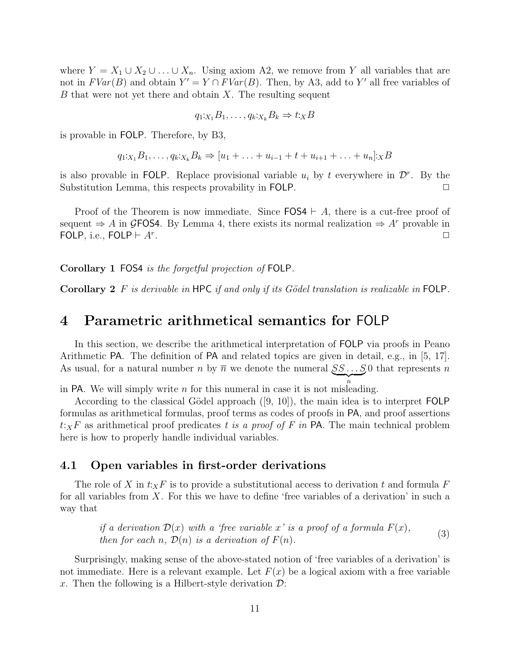where  $Y = X_1 \cup X_2 \cup \ldots \cup X_n$ . Using axiom A2, we remove from Y all variables that are not in  $FVar(B)$  and obtain  $Y' = Y \cap FVar(B)$ . Then, by A3, add to Y' all free variables of  $B$  that were not yet there and obtain  $X$ . The resulting sequent

$$
q_1:_{X_1}B_1,\ldots,q_k:_{X_k}B_k\Rightarrow t:_{X}B
$$

is provable in FOLP. Therefore, by B3,

$$
q_1:_{X_1}B_1,\ldots,q_k:_{X_k}B_k \Rightarrow [u_1+\ldots+u_{i-1}+t+u_{i+1}+\ldots+u_n]:_X B
$$

is also provable in FOLP. Replace provisional variable  $u_i$  by t everywhere in  $\mathcal{D}^r$ . By the Substitution Lemma, this respects provability in FOLP.  $\Box$ 

Proof of the Theorem is now immediate. Since  $FOS4 \vdash A$ , there is a cut-free proof of sequent  $\Rightarrow$  A in GFOS4. By Lemma 4, there exists its normal realization  $\Rightarrow$  A<sup>r</sup> provable in FOLP, i.e., FOLP  $\vdash$  A<sup>r</sup>. . The contract of the contract of the contract of the contract of the contract of the contract of the contract of the contract of the contract of the contract of the contract of the contract of the contract of the contrac

Corollary 1 FOS4 is the forgetful projection of FOLP.

Corollary 2 F is derivable in HPC if and only if its Gödel translation is realizable in FOLP.

# 4 Parametric arithmetical semantics for FOLP

In this section, we describe the arithmetical interpretation of FOLP via proofs in Peano Arithmetic PA. The definition of PA and related topics are given in detail, e.g., in [5, 17]. As usual, for a natural number n by  $\overline{n}$  we denote the numeral  $SS...S$  that represents n  $\overline{\phantom{a}n}$ 

in PA. We will simply write *n* for this numeral in case it is not misleading.

According to the classical Gödel approach  $([9, 10])$ , the main idea is to interpret FOLP formulas as arithmetical formulas, proof terms as codes of proofs in PA, and proof assertions  $t:_{X}F$  as arithmetical proof predicates t is a proof of F in PA. The main technical problem here is how to properly handle individual variables.

### 4.1 Open variables in first-order derivations

The role of X in  $t:_{X}F$  is to provide a substitutional access to derivation t and formula F for all variables from  $X$ . For this we have to define 'free variables of a derivation' in such a way that

if a derivation 
$$
\mathcal{D}(x)
$$
 with a 'free variable x' is a proof of a formula  $F(x)$ ,  
then for each n,  $\mathcal{D}(n)$  is a derivation of  $F(n)$ . (3)

Surprisingly, making sense of the above-stated notion of 'free variables of a derivation' is not immediate. Here is a relevant example. Let  $F(x)$  be a logical axiom with a free variable x. Then the following is a Hilbert-style derivation  $\mathcal{D}$ :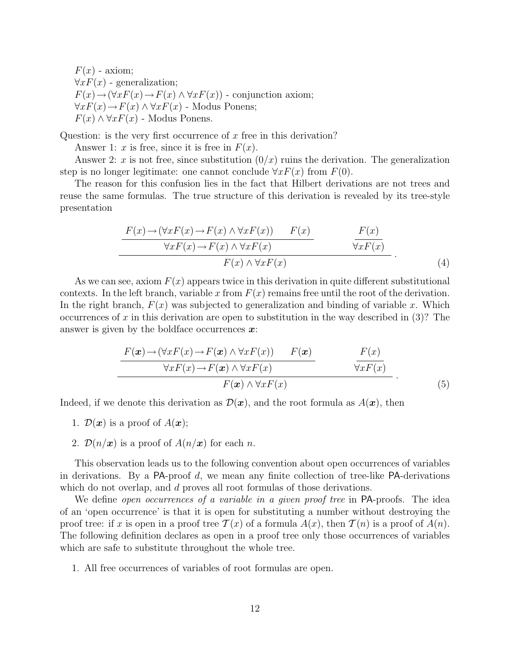$F(x)$  - axiom;  $\forall x F(x)$  - generalization;  $F(x) \rightarrow (\forall x F(x) \rightarrow F(x) \land \forall x F(x))$  - conjunction axiom;  $\forall x F(x) \rightarrow F(x) \land \forall x F(x)$  - Modus Ponens;  $F(x) \wedge \forall x F(x)$  - Modus Ponens.

Question: is the very first occurrence of x free in this derivation?

Answer 1: x is free, since it is free in  $F(x)$ .

Answer 2: x is not free, since substitution  $(0/x)$  ruins the derivation. The generalization step is no longer legitimate: one cannot conclude  $\forall x F(x)$  from  $F(0)$ .

The reason for this confusion lies in the fact that Hilbert derivations are not trees and reuse the same formulas. The true structure of this derivation is revealed by its tree-style presentation

$$
\frac{F(x) \to (\forall x F(x) \to F(x) \land \forall x F(x)) \qquad F(x)}{\forall x F(x) \to F(x) \land \forall x F(x)} \qquad \frac{F(x)}{\forall x F(x)}\nF(x) \land \forall x F(x)
$$
\n(4)

As we can see, axiom  $F(x)$  appears twice in this derivation in quite different substitutional contexts. In the left branch, variable x from  $F(x)$  remains free until the root of the derivation. In the right branch,  $F(x)$  was subjected to generalization and binding of variable x. Which occurrences of x in this derivation are open to substitution in the way described in  $(3)$ ? The answer is given by the boldface occurrences  $\boldsymbol{x}$ :

$$
\frac{F(\boldsymbol{x}) \to (\forall x F(x) \to F(\boldsymbol{x}) \land \forall x F(x)) \qquad F(\boldsymbol{x})}{\forall x F(x) \to F(\boldsymbol{x}) \land \forall x F(x)} \qquad \qquad \frac{F(x)}{\forall x F(x)}\nF(\boldsymbol{x}) \land \forall x F(x)
$$
\n(5)

Indeed, if we denote this derivation as  $\mathcal{D}(\boldsymbol{x})$ , and the root formula as  $A(\boldsymbol{x})$ , then

- 1.  $\mathcal{D}(\boldsymbol{x})$  is a proof of  $A(\boldsymbol{x})$ ;
- 2.  $\mathcal{D}(n/\mathbf{x})$  is a proof of  $A(n/\mathbf{x})$  for each n.

This observation leads us to the following convention about open occurrences of variables in derivations. By a PA-proof  $d$ , we mean any finite collection of tree-like PA-derivations which do not overlap, and d proves all root formulas of those derivations.

We define *open occurrences of a variable in a given proof tree* in  $PA$ -proofs. The idea of an 'open occurrence' is that it is open for substituting a number without destroying the proof tree: if x is open in a proof tree  $\mathcal{T}(x)$  of a formula  $A(x)$ , then  $\mathcal{T}(n)$  is a proof of  $A(n)$ . The following definition declares as open in a proof tree only those occurrences of variables which are safe to substitute throughout the whole tree.

1. All free occurrences of variables of root formulas are open.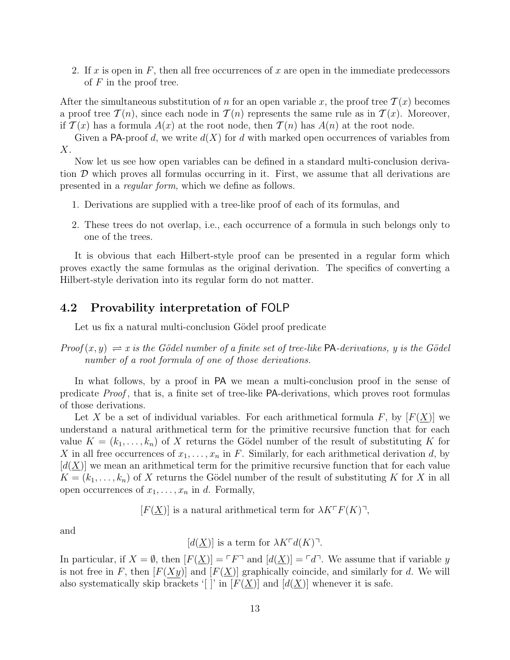2. If x is open in  $F$ , then all free occurrences of x are open in the immediate predecessors of  $F$  in the proof tree.

After the simultaneous substitution of n for an open variable x, the proof tree  $\mathcal{T}(x)$  becomes a proof tree  $\mathcal{T}(n)$ , since each node in  $\mathcal{T}(n)$  represents the same rule as in  $\mathcal{T}(x)$ . Moreover, if  $\mathcal{T}(x)$  has a formula  $A(x)$  at the root node, then  $\mathcal{T}(n)$  has  $A(n)$  at the root node.

Given a PA-proof d, we write  $d(X)$  for d with marked open occurrences of variables from  $X$ .

Now let us see how open variables can be defined in a standard multi-conclusion derivation  $\mathcal D$  which proves all formulas occurring in it. First, we assume that all derivations are presented in a regular form, which we define as follows.

- 1. Derivations are supplied with a tree-like proof of each of its formulas, and
- 2. These trees do not overlap, i.e., each occurrence of a formula in such belongs only to one of the trees.

It is obvious that each Hilbert-style proof can be presented in a regular form which proves exactly the same formulas as the original derivation. The specifics of converting a Hilbert-style derivation into its regular form do not matter.

### 4.2 Provability interpretation of FOLP

Let us fix a natural multi-conclusion Gödel proof predicate

 $Proof(x, y) \rightleftharpoons x$  is the Gödel number of a finite set of tree-like PA-derivations, y is the Gödel number of a root formula of one of those derivations.

In what follows, by a proof in PA we mean a multi-conclusion proof in the sense of predicate Proof , that is, a finite set of tree-like PA-derivations, which proves root formulas of those derivations.

Let X be a set of individual variables. For each arithmetical formula F, by  $|F(\underline{X})|$  we understand a natural arithmetical term for the primitive recursive function that for each value  $K = (k_1, \ldots, k_n)$  of X returns the Gödel number of the result of substituting K for X in all free occurrences of  $x_1, \ldots, x_n$  in F. Similarly, for each arithmetical derivation d, by  $[d(\underline{X})]$  we mean an arithmetical term for the primitive recursive function that for each value  $K = (k_1, \ldots, k_n)$  of X returns the Gödel number of the result of substituting K for X in all open occurrences of  $x_1, \ldots, x_n$  in d. Formally,

 $[F(\underline{X})]$  is a natural arithmetical term for  $\lambda K \Gamma F(K)$ ,

and

$$
[d(\underline{X})]
$$
 is a term for  $\lambda K^{\dagger} d(K)$ <sup>-1</sup>.

In particular, if  $X = \emptyset$ , then  $[F(X)] = \ulcorner F \urcorner$  and  $[d(X)] = \ulcorner d \urcorner$ . We assume that if variable y is not free in F, then  $[F(Xy)]$  and  $[F(\underline{X})]$  graphically coincide, and similarly for d. We will also systematically skip brackets '[ ]' in  $[F(\underline{X})]$  and  $[d(\underline{X})]$  whenever it is safe.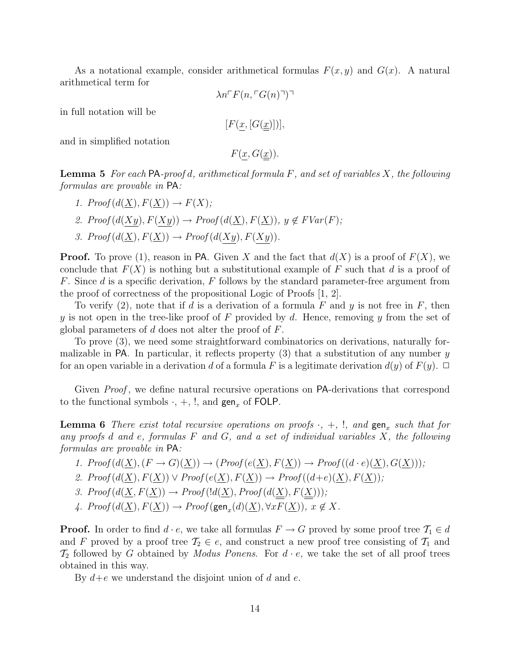As a notational example, consider arithmetical formulas  $F(x, y)$  and  $G(x)$ . A natural arithmetical term for

$$
\lambda n \Gamma F(n, \Gamma G(n) \Gamma)
$$

in full notation will be

$$
[F(\underline{x}, [G(\underline{x})])],
$$

and in simplified notation

 $F(x, G(\underline{x})).$ 

**Lemma 5** For each PA-proof d, arithmetical formula F, and set of variables X, the following formulas are provable in PA:

\n- 1. 
$$
Proof(d(\underline{X}), F(\underline{X})) \rightarrow F(X);
$$
\n- 2.  $Proof(d(\underline{Xy}), F(\underline{Xy})) \rightarrow Proof(d(\underline{X}), F(\underline{X})), y \notin FVar(F);$
\n- 3.  $Proof(d(\underline{X}), F(\underline{X})) \rightarrow Proof(d(\underline{Xy}), F(\underline{Xy})).$
\n

**Proof.** To prove (1), reason in PA. Given X and the fact that  $d(X)$  is a proof of  $F(X)$ , we conclude that  $F(X)$  is nothing but a substitutional example of F such that d is a proof of F. Since  $d$  is a specific derivation,  $F$  follows by the standard parameter-free argument from the proof of correctness of the propositional Logic of Proofs [1, 2].

To verify (2), note that if d is a derivation of a formula F and y is not free in F, then y is not open in the tree-like proof of F provided by d. Hence, removing y from the set of global parameters of  $d$  does not alter the proof of  $F$ .

To prove (3), we need some straightforward combinatorics on derivations, naturally formalizable in PA. In particular, it reflects property (3) that a substitution of any number  $\eta$ for an open variable in a derivation d of a formula F is a legitimate derivation  $d(y)$  of  $F(y)$ .  $\Box$ 

Given *Proof*, we define natural recursive operations on PA-derivations that correspond to the functional symbols  $\cdot$ ,  $+$ ,  $\cdot$ , and gen<sub>x</sub> of FOLP.

**Lemma 6** There exist total recursive operations on proofs  $\cdot$ ,  $+$ ,  $\cdot$ , and  $\text{gen}_x$  such that for any proofs  $d$  and  $e$ , formulas  $F$  and  $G$ , and  $a$  set of individual variables  $X$ , the following formulas are provable in PA:

- 1.  $Proof(d(X), (F \rightarrow G)(X)) \rightarrow (Proof(e(X), F(X)) \rightarrow Proof((d \cdot e)(X), G(X)));$
- 2.  $Proof(d(X), F(X)) \vee Proof(e(X), F(X)) \rightarrow Proof((d+e)(X), F(X));$

3.  $Proof(d(\underline{X}, F(\underline{X})) \rightarrow Proof(ld(\underline{X}), Proof(d(\underline{X}), F(\underline{X}))),$ 

4.  $Proof(d(\underline{X}), F(\underline{X})) \rightarrow Proof(\text{gen}_x(d)(\underline{X}), \forall x F(\underline{X})), x \notin X.$ 

**Proof.** In order to find  $d \cdot e$ , we take all formulas  $F \to G$  proved by some proof tree  $\mathcal{T}_1 \in d$ and F proved by a proof tree  $\mathcal{T}_2 \in e$ , and construct a new proof tree consisting of  $\mathcal{T}_1$  and  $\mathcal{T}_2$  followed by G obtained by Modus Ponens. For  $d \cdot e$ , we take the set of all proof trees obtained in this way.

By  $d+e$  we understand the disjoint union of d and e.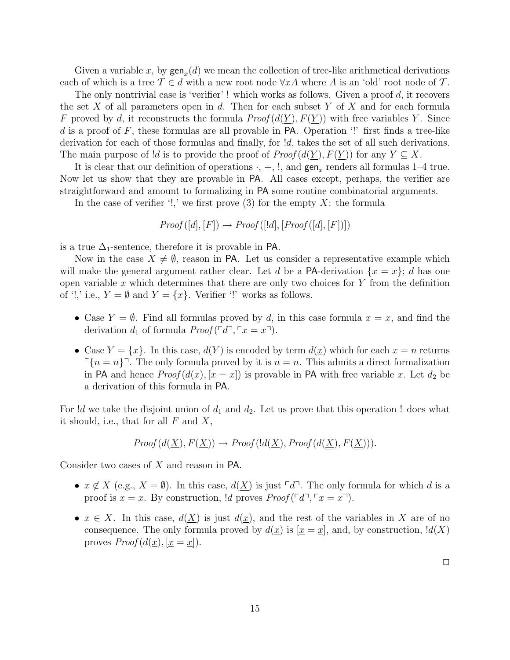Given a variable x, by  $\text{gen}_x(d)$  we mean the collection of tree-like arithmetical derivations each of which is a tree  $\mathcal{T} \in d$  with a new root node  $\forall x A$  where A is an 'old' root node of T.

The only nontrivial case is 'verifier'! which works as follows. Given a proof  $d$ , it recovers the set X of all parameters open in d. Then for each subset Y of X and for each formula F proved by d, it reconstructs the formula  $Proof(d(\underline{Y}), F(\underline{Y}))$  with free variables Y. Since d is a proof of  $F$ , these formulas are all provable in PA. Operation  $\cdot$ ! first finds a tree-like derivation for each of those formulas and finally, for  $d$ , takes the set of all such derivations. The main purpose of !d is to provide the proof of  $Proof(d(Y), F(Y))$  for any  $Y \subseteq X$ .

It is clear that our definition of operations  $\cdot$ ,  $+$ ,  $\cdot$ , and  $\text{gen}_x$  renders all formulas 1–4 true. Now let us show that they are provable in PA. All cases except, perhaps, the verifier are straightforward and amount to formalizing in PA some routine combinatorial arguments.

In the case of verifier '!,' we first prove (3) for the empty  $X$ : the formula

 $Proof([d],[F]) \rightarrow Proof([!d],[Proof([d],[F])])$ 

is a true  $\Delta_1$ -sentence, therefore it is provable in PA.

Now in the case  $X \neq \emptyset$ , reason in PA. Let us consider a representative example which will make the general argument rather clear. Let d be a PA-derivation  $\{x = x\}$ ; d has one open variable x which determines that there are only two choices for  $Y$  from the definition of '!,' i.e.,  $Y = \emptyset$  and  $Y = \{x\}$ . Verifier '!' works as follows.

- Case  $Y = \emptyset$ . Find all formulas proved by d, in this case formula  $x = x$ , and find the derivation  $d_1$  of formula  $Proof(\ulcorner d \urcorner, \ulcorner x = x \urcorner).$
- Case  $Y = \{x\}$ . In this case,  $d(Y)$  is encoded by term  $d(x)$  which for each  $x = n$  returns  $\lceil \{n = n\}\rceil$ . The only formula proved by it is  $n = n$ . This admits a direct formalization in PA and hence  $Proof(d(\underline{x}), [\underline{x} = \underline{x}]$  is provable in PA with free variable x. Let  $d_2$  be a derivation of this formula in PA.

For  $d$  we take the disjoint union of  $d_1$  and  $d_2$ . Let us prove that this operation ! does what it should, i.e., that for all  $F$  and  $X$ ,

$$
Proof(d(\underline{X}), F(\underline{X})) \to Proof(ld(\underline{X}), Proof(d(\underline{X}), F(\underline{X}))).
$$

Consider two cases of X and reason in PA.

- $x \notin X$  (e.g.,  $X = \emptyset$ ). In this case,  $d(X)$  is just  $\ulcorner d \urcorner$ . The only formula for which d is a proof is  $x = x$ . By construction,  $d$  proves  $Proof([d^{\top}, \ulcorner x = x^{\top}])$ .
- $x \in X$ . In this case,  $d(X)$  is just  $d(x)$ , and the rest of the variables in X are of no consequence. The only formula proved by  $d(x)$  is  $[x = x]$ , and, by construction,  $d(X)$ proves  $Proof(d(\underline{x}), [\underline{x} = \underline{x}]).$

 $\Box$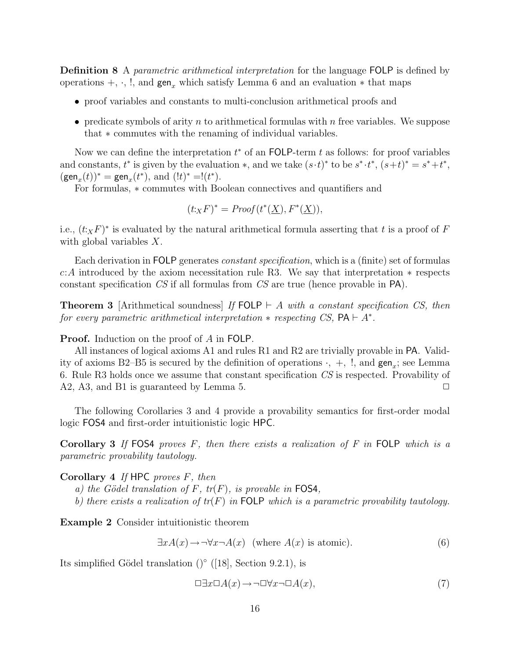**Definition 8** A *parametric arithmetical interpretation* for the language FOLP is defined by operations  $+$ ,  $\cdot$ , !, and gen<sub>x</sub> which satisfy Lemma 6 and an evaluation  $*$  that maps

- proof variables and constants to multi-conclusion arithmetical proofs and
- predicate symbols of arity n to arithmetical formulas with n free variables. We suppose that ∗ commutes with the renaming of individual variables.

Now we can define the interpretation  $t^*$  of an FOLP-term  $t$  as follows: for proof variables and constants,  $t^*$  is given by the evaluation  $*$ , and we take  $(s \cdot t)^*$  to be  $s^* \cdot t^*$ ,  $(s+t)^* = s^* + t^*$ ,  $(\text{\sf{gen}}_x(t))^* = \text{\sf{gen}}_x(t^*), \text{ and } (!t)^* = !(t^*).$ 

For formulas, ∗ commutes with Boolean connectives and quantifiers and

$$
(t:_{X} F)^{*} = Proof(t^{*}(\underline{X}), F^{*}(\underline{X})),
$$

i.e.,  $(t_XF)^*$  is evaluated by the natural arithmetical formula asserting that t is a proof of F with global variables X.

Each derivation in FOLP generates *constant specification*, which is a (finite) set of formulas c:A introduced by the axiom necessitation rule R3. We say that interpretation ∗ respects constant specification CS if all formulas from CS are true (hence provable in PA).

**Theorem 3** [Arithmetical soundness] If FOLP  $\vdash$  A with a constant specification CS, then for every parametric arithmetical interpretation  $*$  respecting CS,  $PA \vdash A^*$ .

Proof. Induction on the proof of A in FOLP.

All instances of logical axioms A1 and rules R1 and R2 are trivially provable in PA. Validity of axioms B2–B5 is secured by the definition of operations  $\cdot$ ,  $+$ ,  $\cdot$ , and  $\text{gen}_x$ ; see Lemma 6. Rule R3 holds once we assume that constant specification CS is respected. Provability of A2, A3, and B1 is guaranteed by Lemma 5.  $\Box$ 

The following Corollaries 3 and 4 provide a provability semantics for first-order modal logic FOS4 and first-order intuitionistic logic HPC.

Corollary 3 If FOS4 proves  $F$ , then there exists a realization of  $F$  in FOLP which is a parametric provability tautology.

Corollary 4 If HPC proves  $F$ , then

- a) the Gödel translation of F,  $tr(F)$ , is provable in FOS4,
- b) there exists a realization of  $tr(F)$  in FOLP which is a parametric provability tautology.

Example 2 Consider intuitionistic theorem

$$
\exists x A(x) \to \neg \forall x \neg A(x) \text{ (where } A(x) \text{ is atomic).}
$$
 (6)

Its simplified Gödel translation  $()°$  ([18], Section 9.2.1), is

$$
\Box \exists x \Box A(x) \rightarrow \neg \Box \forall x \neg \Box A(x),\tag{7}
$$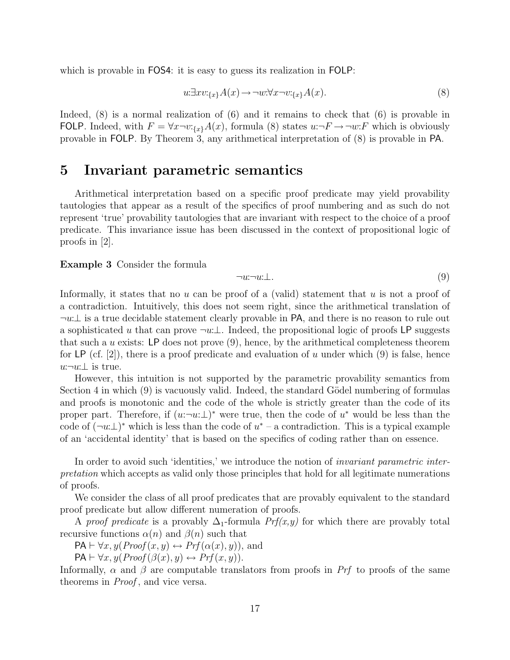which is provable in FOS4: it is easy to guess its realization in FOLP:

$$
w \exists x v :_{\{x\}} A(x) \to \neg w : \forall x \neg v :_{\{x\}} A(x). \tag{8}
$$

Indeed, (8) is a normal realization of (6) and it remains to check that (6) is provable in FOLP. Indeed, with  $F = \forall x \neg v :_{\{x\}} A(x)$ , formula (8) states  $u : \neg F \rightarrow \neg w : F$  which is obviously provable in FOLP. By Theorem 3, any arithmetical interpretation of (8) is provable in PA.

# 5 Invariant parametric semantics

Arithmetical interpretation based on a specific proof predicate may yield provability tautologies that appear as a result of the specifics of proof numbering and as such do not represent 'true' provability tautologies that are invariant with respect to the choice of a proof predicate. This invariance issue has been discussed in the context of propositional logic of proofs in [2].

#### Example 3 Consider the formula

$$
\neg u \neg u \perp. \tag{9}
$$

Informally, it states that no u can be proof of a (valid) statement that u is not a proof of a contradiction. Intuitively, this does not seem right, since the arithmetical translation of  $\neg u:\perp$  is a true decidable statement clearly provable in PA, and there is no reason to rule out a sophisticated u that can prove  $\neg u \perp$ . Indeed, the propositional logic of proofs LP suggests that such a u exists: LP does not prove  $(9)$ , hence, by the arithmetical completeness theorem for LP (cf. [2]), there is a proof predicate and evaluation of u under which (9) is false, hence  $u:¬u:⊥$  is true.

However, this intuition is not supported by the parametric provability semantics from Section 4 in which  $(9)$  is vacuously valid. Indeed, the standard Gödel numbering of formulas and proofs is monotonic and the code of the whole is strictly greater than the code of its proper part. Therefore, if  $(u:\neg u:\bot)^*$  were true, then the code of  $u^*$  would be less than the code of  $(\neg u:\bot)^*$  which is less than the code of  $u^*$  – a contradiction. This is a typical example of an 'accidental identity' that is based on the specifics of coding rather than on essence.

In order to avoid such 'identities,' we introduce the notion of *invariant parametric inter*pretation which accepts as valid only those principles that hold for all legitimate numerations of proofs.

We consider the class of all proof predicates that are provably equivalent to the standard proof predicate but allow different numeration of proofs.

A proof predicate is a provably  $\Delta_1$ -formula  $Prf(x,y)$  for which there are provably total recursive functions  $\alpha(n)$  and  $\beta(n)$  such that

 $PA \vdash \forall x, y (Proof(x, y) \leftrightarrow Prf(\alpha(x), y))$ , and

 $PA \vdash \forall x, y (Proof (\beta(x), y) \leftrightarrow Prf(x, y)).$ 

Informally,  $\alpha$  and  $\beta$  are computable translators from proofs in Prf to proofs of the same theorems in *Proof*, and vice versa.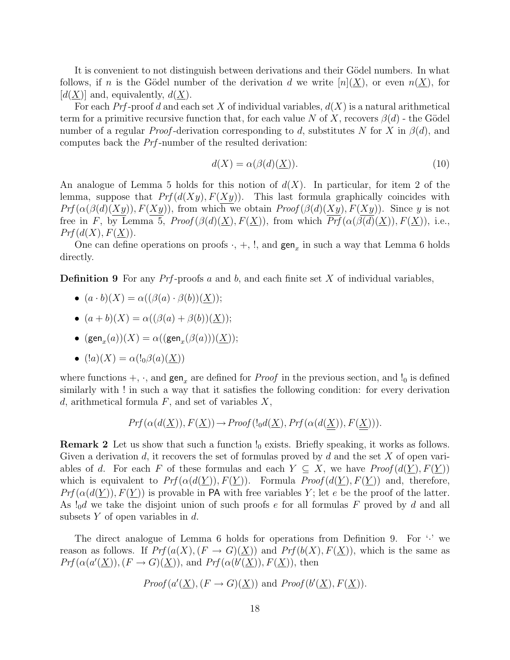It is convenient to not distinguish between derivations and their Gödel numbers. In what follows, if n is the Gödel number of the derivation d we write  $[n](X)$ , or even  $n(X)$ , for  $[d(\underline{X})]$  and, equivalently,  $d(\underline{X})$ .

For each Prf-proof d and each set X of individual variables,  $d(X)$  is a natural arithmetical term for a primitive recursive function that, for each value N of X, recovers  $\beta(d)$  - the Gödel number of a regular *Proof*-derivation corresponding to d, substitutes N for X in  $\beta(d)$ , and computes back the Prf -number of the resulted derivation:

$$
d(X) = \alpha(\beta(d)(\underline{X})).
$$
\n(10)

An analogue of Lemma 5 holds for this notion of  $d(X)$ . In particular, for item 2 of the lemma, suppose that  $Pr(f(d(Xy), F(Xy))$ . This last formula graphically coincides with  $Prf(\alpha(\beta(d)(Xy)), F(Xy))$ , from which we obtain  $Proof(\beta(d)(Xy), F(Xy))$ . Since y is not free in F, by Lemma 5,  $Proof(\beta(d)(X), F(X))$ , from which  $\overline{Prf}(\alpha(\beta(d)(X)), F(X))$ , i.e.,  $Prf(d(X), F(\underline{X})).$ 

One can define operations on proofs  $\cdot$ ,  $+$ ,  $\cdot$ , and  $\text{gen}_x$  in such a way that Lemma 6 holds directly.

**Definition 9** For any  $Prf$ -proofs a and b, and each finite set X of individual variables,

• 
$$
(a \cdot b)(X) = \alpha((\beta(a) \cdot \beta(b))(X));
$$

- $(a+b)(X) = \alpha((\beta(a) + \beta(b))(X));$
- $\bullet$   $(\text{\sf{gen}}_x(a))(X) = \alpha((\text{\sf{gen}}_x(\beta(a)))(\underline{X}));$
- $(la)(X) = \alpha(l_0\beta(a)(X))$

where functions  $+$ ,  $\cdot$ , and gen<sub>x</sub> are defined for *Proof* in the previous section, and  $\cdot$ <sub>0</sub> is defined similarly with ! in such a way that it satisfies the following condition: for every derivation d, arithmetical formula  $F$ , and set of variables  $X$ ,

$$
Prf(\alpha(d(\underline{X})), F(\underline{X})) \to Proof(l_0d(\underline{X}), Prf(\alpha(d(\underline{X})), F(\underline{X}))).
$$

**Remark 2** Let us show that such a function  $\mathcal{L}_0$  exists. Briefly speaking, it works as follows. Given a derivation d, it recovers the set of formulas proved by d and the set X of open variables of d. For each F of these formulas and each  $Y \subseteq X$ , we have  $Proof(d(Y), F(Y))$ which is equivalent to  $Prf(\alpha(d(Y)), F(Y))$ . Formula  $Proof(d(Y), F(Y))$  and, therefore,  $Prf(\alpha(d(\underline{Y})), F(\underline{Y}))$  is provable in PA with free variables Y; let e be the proof of the latter. As  $\cdot \cdot \cdot \cdot$  do take the disjoint union of such proofs e for all formulas F proved by d and all subsets  $Y$  of open variables in  $d$ .

The direct analogue of Lemma 6 holds for operations from Definition 9. For  $\cdot$  we reason as follows. If  $Prf(a(X), (F \to G)(X))$  and  $Prf(b(X), F(X))$ , which is the same as  $Prf(\alpha(a'(\underline{X})),(F \to G)(\underline{X}))$ , and  $Prf(\alpha(b'(\underline{X})),F(\underline{X}))$ , then

*Proof* 
$$
(a'(\underline{X}), (F \to G)(\underline{X}))
$$
 and *Proof*  $(b'(\underline{X}), F(\underline{X}))$ .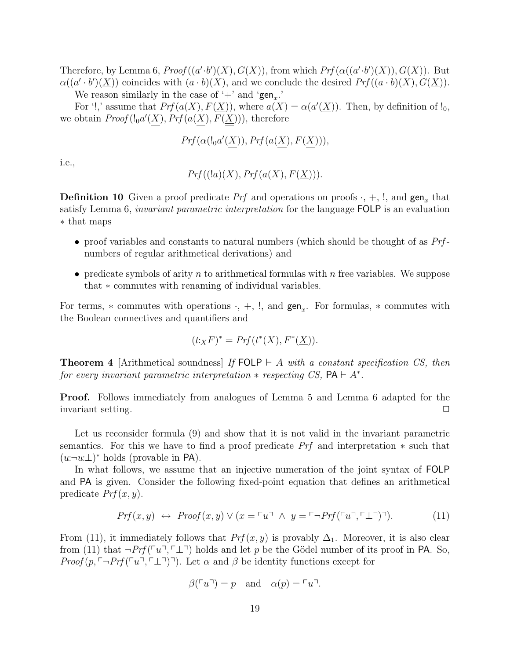Therefore, by Lemma 6,  $Proof((a'.b')(\underline{X}), G(\underline{X}))$ , from which  $Prf(\alpha((a'.b')(\underline{X})), G(\underline{X}))$ . But  $\alpha((a' \cdot b')(\underline{X}))$  coincides with  $(a \cdot b)(X)$ , and we conclude the desired  $Prf((a \cdot b)(X), G(\underline{X}))$ . We reason similarly in the case of '+' and ' $gen_x$ .'

For '!,' assume that  $Prf(a(X), F(\underline{X}))$ , where  $a(X) = \alpha(a'(\underline{X}))$ . Then, by definition of !<sub>0</sub>, we obtain  $Proof(l_0a'(X), Prf(a(X), F(\underline{X}))),$  therefore

$$
\mathit{Prf}(\alpha(l_0a'(\underline{X})),\mathit{Prf}(a(\underline{X}),F(\underline{\underline{X}}))),
$$

i.e.,

$$
Prf((!a)(X), Prf(a(X), F(\underline{X}))).
$$

**Definition 10** Given a proof predicate *Prf* and operations on proofs  $\cdot$ ,  $+$ ,  $\cdot$ , and  $\text{gen}_x$  that satisfy Lemma 6, *invariant parametric interpretation* for the language FOLP is an evaluation ∗ that maps

- proof variables and constants to natural numbers (which should be thought of as  $Prf$ numbers of regular arithmetical derivations) and
- predicate symbols of arity n to arithmetical formulas with n free variables. We suppose that ∗ commutes with renaming of individual variables.

For terms,  $*$  commutes with operations  $\cdot$ ,  $+$ ,  $\cdot$ , and  $\text{gen}_x$ . For formulas,  $*$  commutes with the Boolean connectives and quantifiers and

$$
(t:_{X}F)^{*} = Prf(t^{*}(X), F^{*}(\underline{X})).
$$

**Theorem 4** [Arithmetical soundness] If FOLP  $\vdash$  A with a constant specification CS, then for every invariant parametric interpretation  $*$  respecting CS,  $PA \vdash A^*$ .

Proof. Follows immediately from analogues of Lemma 5 and Lemma 6 adapted for the invariant setting.

Let us reconsider formula (9) and show that it is not valid in the invariant parametric semantics. For this we have to find a proof predicate Prf and interpretation ∗ such that  $(u:\neg u:\bot)^*$  holds (provable in PA).

In what follows, we assume that an injective numeration of the joint syntax of FOLP and PA is given. Consider the following fixed-point equation that defines an arithmetical predicate  $Prf(x, y)$ .

$$
Prf(x,y) \leftrightarrow \text{Proof}(x,y) \lor (x = \ulcorner u \urcorner \land y = \ulcorner \neg \text{Prf}(\ulcorner u \urcorner, \ulcorner \bot \urcorner) \urcorner). \tag{11}
$$

From (11), it immediately follows that  $Prf(x, y)$  is provably  $\Delta_1$ . Moreover, it is also clear from (11) that  $\neg Prf(\ulcorner u\urcorner, \ulcorner \perp \urcorner)$  holds and let p be the Gödel number of its proof in PA. So, *Proof*  $(p, \ulcorner \neg Prf(\ulcorner u\urcorner, \ulcorner \perp \urcorner))$ . Let  $\alpha$  and  $\beta$  be identity functions except for

$$
\beta(\ulcorner u\urcorner) = p \quad \text{and} \quad \alpha(p) = \ulcorner u\urcorner.
$$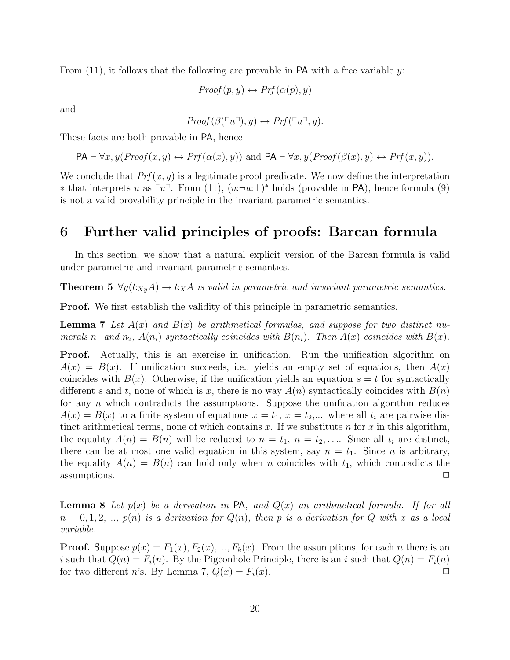From  $(11)$ , it follows that the following are provable in PA with a free variable y:

$$
Proof(p, y) \leftrightarrow Prf(\alpha(p), y)
$$

and

$$
Proof(\beta(\ulcorner u \urcorner), y) \leftrightarrow Prf(\ulcorner u \urcorner, y).
$$

These facts are both provable in PA, hence

 $PA \vdash \forall x, y (Proof(x, y) \leftrightarrow Prf(\alpha(x), y))$  and  $PA \vdash \forall x, y (Proof(\beta(x), y) \leftrightarrow Prf(x, y)).$ 

We conclude that  $Prf(x, y)$  is a legitimate proof predicate. We now define the interpretation \* that interprets u as  $\lceil u \rceil$ . From (11),  $(u:\neg u:\bot)^*$  holds (provable in PA), hence formula (9) is not a valid provability principle in the invariant parametric semantics.

# 6 Further valid principles of proofs: Barcan formula

In this section, we show that a natural explicit version of the Barcan formula is valid under parametric and invariant parametric semantics.

**Theorem 5**  $\forall y (t:_{X_y} A) \rightarrow t:_{X} A$  is valid in parametric and invariant parametric semantics.

Proof. We first establish the validity of this principle in parametric semantics.

**Lemma 7** Let  $A(x)$  and  $B(x)$  be arithmetical formulas, and suppose for two distinct numerals  $n_1$  and  $n_2$ ,  $A(n_i)$  syntactically coincides with  $B(n_i)$ . Then  $A(x)$  coincides with  $B(x)$ .

**Proof.** Actually, this is an exercise in unification. Run the unification algorithm on  $A(x) = B(x)$ . If unification succeeds, i.e., yields an empty set of equations, then  $A(x)$ coincides with  $B(x)$ . Otherwise, if the unification yields an equation  $s = t$  for syntactically different s and t, none of which is x, there is no way  $A(n)$  syntactically coincides with  $B(n)$ for any  $n$  which contradicts the assumptions. Suppose the unification algorithm reduces  $A(x) = B(x)$  to a finite system of equations  $x = t_1, x = t_2,...$  where all  $t_i$  are pairwise distinct arithmetical terms, none of which contains  $x$ . If we substitute  $n$  for  $x$  in this algorithm, the equality  $A(n) = B(n)$  will be reduced to  $n = t_1$ ,  $n = t_2, \ldots$  Since all  $t_i$  are distinct, there can be at most one valid equation in this system, say  $n = t_1$ . Since *n* is arbitrary, the equality  $A(n) = B(n)$  can hold only when n coincides with  $t_1$ , which contradicts the  $\Box$  assumptions.  $\Box$ 

**Lemma 8** Let  $p(x)$  be a derivation in PA, and  $Q(x)$  an arithmetical formula. If for all  $n = 0, 1, 2, \ldots, p(n)$  is a derivation for  $Q(n)$ , then p is a derivation for Q with x as a local variable.

**Proof.** Suppose  $p(x) = F_1(x), F_2(x), ..., F_k(x)$ . From the assumptions, for each *n* there is an i such that  $Q(n) = F_i(n)$ . By the Pigeonhole Principle, there is an i such that  $Q(n) = F_i(n)$ for two different *n*'s. By Lemma 7,  $Q(x) = F_i(x)$ .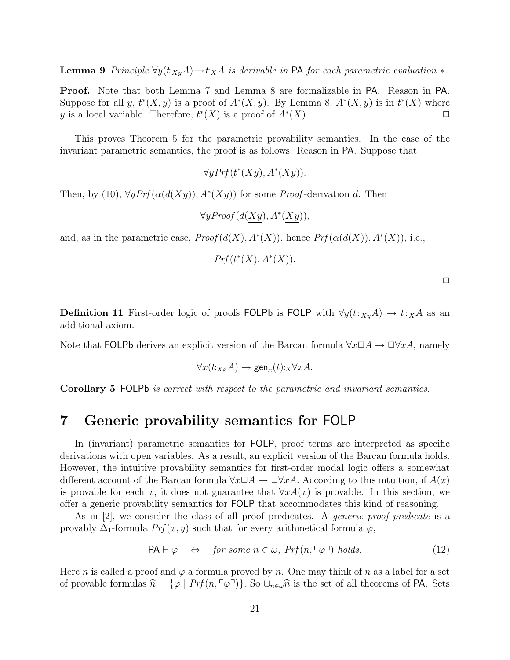**Lemma 9** Principle  $\forall y(t:x_yA) \rightarrow t:xA$  is derivable in PA for each parametric evaluation  $*$ .

Proof. Note that both Lemma 7 and Lemma 8 are formalizable in PA. Reason in PA. Suppose for all y,  $t^*(X, y)$  is a proof of  $A^*(X, y)$ . By Lemma 8,  $A^*(X, y)$  is in  $t^*(X)$  where y is a local variable. Therefore,  $t^*(X)$  is a proof of  $A^*(X)$ .

This proves Theorem 5 for the parametric provability semantics. In the case of the invariant parametric semantics, the proof is as follows. Reason in PA. Suppose that

 $\forall y Prf(t^*(Xy), A^*(Xy)).$ 

Then, by (10),  $\forall y Prf(\alpha(d(Xy)), A^*(Xy))$  for some *Proof*-derivation d. Then

 $\forall y \text{Proof}(d(Xy), A^*(Xy)),$ 

and, as in the parametric case,  $Proof(d(\underline{X}), A^*(\underline{X}))$ , hence  $Prf(\alpha(d(\underline{X})), A^*(\underline{X}))$ , i.e.,

 $Prf(t^*(X), A^*(\underline{X})).$ 

| ٠ |  |  |
|---|--|--|
|   |  |  |
|   |  |  |

**Definition 11** First-order logic of proofs FOLPb is FOLP with  $\forall y(t:_{X_y}A) \rightarrow t:_{X}A$  as an additional axiom.

Note that FOLPb derives an explicit version of the Barcan formula  $\forall x \Box A \rightarrow \Box \forall x A$ , namely

$$
\forall x(t:x_xA) \rightarrow \text{gen}_x(t):_X \forall xA.
$$

Corollary 5 FOLPb is correct with respect to the parametric and invariant semantics.

# 7 Generic provability semantics for FOLP

In (invariant) parametric semantics for FOLP, proof terms are interpreted as specific derivations with open variables. As a result, an explicit version of the Barcan formula holds. However, the intuitive provability semantics for first-order modal logic offers a somewhat different account of the Barcan formula  $\forall x \Box A \rightarrow \Box \forall x A$ . According to this intuition, if  $A(x)$ is provable for each x, it does not guarantee that  $\forall x A(x)$  is provable. In this section, we offer a generic provability semantics for FOLP that accommodates this kind of reasoning.

As in [2], we consider the class of all proof predicates. A *generic proof predicate* is a provably  $\Delta_1$ -formula  $Prf(x, y)$  such that for every arithmetical formula  $\varphi$ ,

$$
\mathsf{PA} \vdash \varphi \quad \Leftrightarrow \quad \text{for some } n \in \omega, \ \Pr(f(n, \ulcorner \varphi \urcorner) \ \text{holds.} \tag{12}
$$

Here n is called a proof and  $\varphi$  a formula proved by n. One may think of n as a label for a set of provable formulas  $\hat{n} = {\varphi \mid Prf(n, \lceil \varphi \rceil)}$ . So  $\cup_{n \in \omega} \hat{n}$  is the set of all theorems of PA. Sets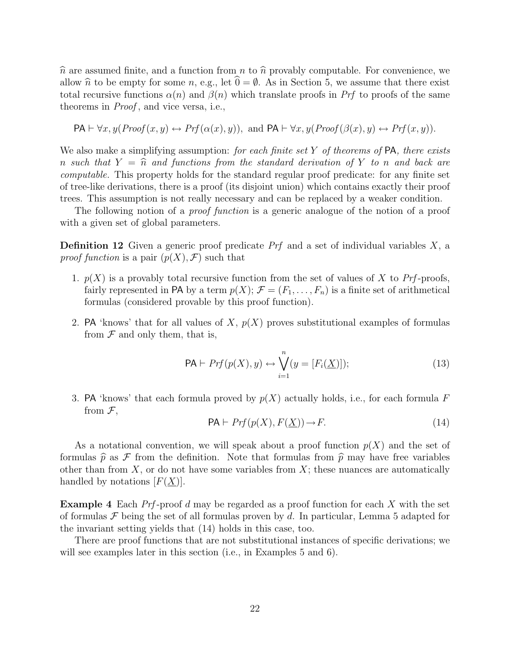$\hat{n}$  are assumed finite, and a function from n to  $\hat{n}$  provably computable. For convenience, we allow  $\hat{n}$  to be empty for some n, e.g., let  $\hat{0} = \emptyset$ . As in Section 5, we assume that there exist total recursive functions  $\alpha(n)$  and  $\beta(n)$  which translate proofs in Prf to proofs of the same theorems in *Proof*, and vice versa, i.e.,

$$
\mathsf{PA} \vdash \forall x, y (\mathit{Proof}(x, y) \leftrightarrow \mathit{Prf}(\alpha(x), y)), \text{ and } \mathsf{PA} \vdash \forall x, y (\mathit{Proof}(\beta(x), y) \leftrightarrow \mathit{Prf}(x, y)).
$$

We also make a simplifying assumption: for each finite set  $Y$  of theorems of  $PA$ , there exists n such that  $Y = \hat{n}$  and functions from the standard derivation of Y to n and back are computable. This property holds for the standard regular proof predicate: for any finite set of tree-like derivations, there is a proof (its disjoint union) which contains exactly their proof trees. This assumption is not really necessary and can be replaced by a weaker condition.

The following notion of a *proof function* is a generic analogue of the notion of a proof with a given set of global parameters.

**Definition 12** Given a generic proof predicate  $Prf$  and a set of individual variables  $X$ , a proof function is a pair  $(p(X), \mathcal{F})$  such that

- 1.  $p(X)$  is a provably total recursive function from the set of values of X to Prf-proofs, fairly represented in PA by a term  $p(X)$ ;  $\mathcal{F} = (F_1, \ldots, F_n)$  is a finite set of arithmetical formulas (considered provable by this proof function).
- 2. PA 'knows' that for all values of X,  $p(X)$  proves substitutional examples of formulas from  $\mathcal F$  and only them, that is,

$$
\mathsf{PA} \vdash Prf(p(X), y) \leftrightarrow \bigvee_{i=1}^{n} (y = [F_i(\underline{X})]); \tag{13}
$$

3. PA 'knows' that each formula proved by  $p(X)$  actually holds, i.e., for each formula F from  $\mathcal{F}$ ,

$$
PA \vdash Prf(p(X), F(\underline{X})) \to F. \tag{14}
$$

As a notational convention, we will speak about a proof function  $p(X)$  and the set of formulas  $\hat{p}$  as F from the definition. Note that formulas from  $\hat{p}$  may have free variables other than from  $X$ , or do not have some variables from  $X$ ; these nuances are automatically handled by notations  $[F(X)]$ .

**Example 4** Each  $Prf$ -proof d may be regarded as a proof function for each X with the set of formulas  $\mathcal F$  being the set of all formulas proven by d. In particular, Lemma 5 adapted for the invariant setting yields that (14) holds in this case, too.

There are proof functions that are not substitutional instances of specific derivations; we will see examples later in this section (i.e., in Examples 5 and 6).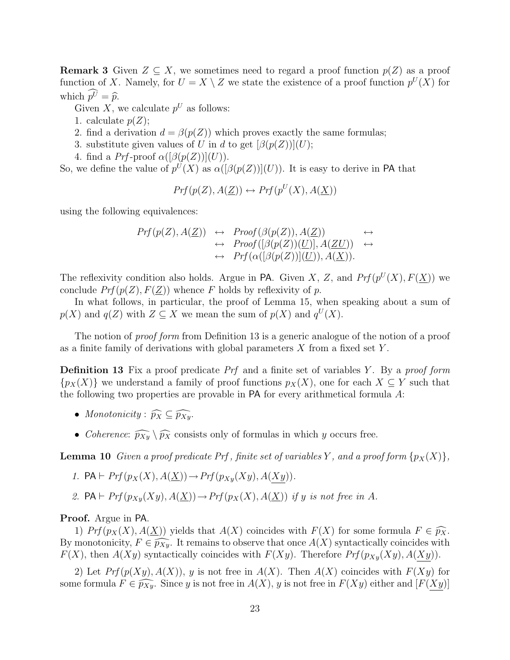**Remark 3** Given  $Z \subseteq X$ , we sometimes need to regard a proof function  $p(Z)$  as a proof function of X. Namely, for  $U = X \setminus Z$  we state the existence of a proof function  $p^U(X)$  for which  $p\hat{v} = \hat{p}$ .

Given X, we calculate  $p^U$  as follows:

- 1. calculate  $p(Z)$ ;
- 2. find a derivation  $d = \beta(p(Z))$  which proves exactly the same formulas;
- 3. substitute given values of U in d to get  $\left[\beta(p(Z))\right](U)$ ;
- 4. find a  $Prf$ -proof  $\alpha([\beta(p(Z))](U))$ .

So, we define the value of  $p^{U}(X)$  as  $\alpha([\beta(p(Z))](U))$ . It is easy to derive in PA that

$$
Prf(p(Z), A(\underline{Z})) \leftrightarrow Prf(p^U(X), A(\underline{X}))
$$

using the following equivalences:

$$
Prf(p(Z), A(\underline{Z})) \leftrightarrow \text{Proof}(\beta(p(Z)), A(\underline{Z})) \leftrightarrow \rightarrow \text{Proof}([\beta(p(Z))(\underline{U})], A(\underline{ZU})) \leftrightarrow \rightarrow \text{Prf}(\alpha([\beta(p(Z))](\underline{U})), A(\underline{X})).
$$

The reflexivity condition also holds. Argue in PA. Given X, Z, and  $Prf(p^U(X), F(\underline{X}))$  we conclude  $Prf(p(Z), F(Z))$  whence F holds by reflexivity of p.

In what follows, in particular, the proof of Lemma 15, when speaking about a sum of  $p(X)$  and  $q(Z)$  with  $Z \subseteq X$  we mean the sum of  $p(X)$  and  $q^U(X)$ .

The notion of *proof form* from Definition 13 is a generic analogue of the notion of a proof as a finite family of derivations with global parameters  $X$  from a fixed set  $Y$ .

**Definition 13** Fix a proof predicate  $Prf$  and a finite set of variables Y. By a proof form  $\{p_X(X)\}\$  we understand a family of proof functions  $p_X(X)$ , one for each  $X \subseteq Y$  such that the following two properties are provable in PA for every arithmetical formula A:

- Monotonicity :  $\widehat{p_X} \subseteq \widehat{p_{Xy}}$ .
- Coherence:  $\widehat{p_{xy}} \setminus \widehat{p_X}$  consists only of formulas in which y occurs free.

**Lemma 10** Given a proof predicate Prf, finite set of variables Y, and a proof form  $\{p_X(X)\}\$ ,

- 1. PA  $\vdash Prf(p_X(X), A(\underline{X})) \rightarrow Prf(p_{Xy}(Xy), A(Xy)).$
- 2. PA  $\vdash Prf(p_{Xy}(Xy), A(X)) \rightarrow Prf(p_X(X), A(X))$  if y is not free in A.

#### Proof. Argue in PA.

1) Prf  $(p_X(X), A(\underline{X}))$  yields that  $A(X)$  coincides with  $F(X)$  for some formula  $F \in \widehat{p_X}$ . By monotonicity,  $F \in \widehat{p_{xy}}$ . It remains to observe that once  $A(X)$  syntactically coincides with  $F(X)$ , then  $A(Xy)$  syntactically coincides with  $F(Xy)$ . Therefore  $Prf(p_{Xy}(Xy), A(Xy))$ .

2) Let  $Prf(p(Xy), A(X))$ , y is not free in  $A(X)$ . Then  $A(X)$  coincides with  $F(Xy)$  for some formula  $F \in \widehat{p_{xy}}$ . Since y is not free in  $A(X)$ , y is not free in  $F(Xy)$  either and  $[F(Xy)]$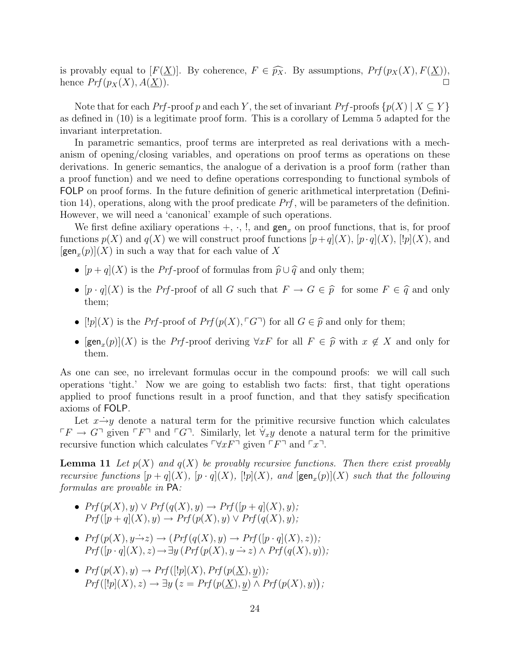is provably equal to  $[F(\underline{X})]$ . By coherence,  $F \in \widehat{p}_X$ . By assumptions,  $Prf(p_X(X), F(\underline{X}))$ , hence  $Prf(p_X(X), A(X))$ hence  $Prf(p_X(X), A(\underline{X})).$ 

Note that for each Prf-proof p and each Y, the set of invariant Prf-proofs  $\{p(X) | X \subseteq Y\}$ as defined in (10) is a legitimate proof form. This is a corollary of Lemma 5 adapted for the invariant interpretation.

In parametric semantics, proof terms are interpreted as real derivations with a mechanism of opening/closing variables, and operations on proof terms as operations on these derivations. In generic semantics, the analogue of a derivation is a proof form (rather than a proof function) and we need to define operations corresponding to functional symbols of FOLP on proof forms. In the future definition of generic arithmetical interpretation (Definition 14), operations, along with the proof predicate  $Prf$ , will be parameters of the definition. However, we will need a 'canonical' example of such operations.

We first define axiliary operations  $+$ ,  $\cdot$ ,  $\cdot$ ,  $\cdot$ , and gen<sub>x</sub> on proof functions, that is, for proof functions  $p(X)$  and  $q(X)$  we will construct proof functions  $[p+q](X)$ ,  $[p\cdot q](X)$ ,  $[!p](X)$ , and  $[\text{gen}_x(p)](X)$  in such a way that for each value of X

- $[p+q](X)$  is the *Prf*-proof of formulas from  $\hat{p}\cup\hat{q}$  and only them;
- $[p \cdot q](X)$  is the Prf-proof of all G such that  $F \to G \in \hat{p}$  for some  $F \in \hat{q}$  and only them;
- [ $|p|(X)$  is the Prf-proof of Prf $(p(X), \ulcorner G\urcorner)$  for all  $G \in \widehat{p}$  and only for them;
- $[\text{gen}_x(p)](X)$  is the *Prf*-proof deriving  $\forall x F$  for all  $F \in \widehat{p}$  with  $x \notin X$  and only for them them.

As one can see, no irrelevant formulas occur in the compound proofs: we will call such operations 'tight.' Now we are going to establish two facts: first, that tight operations applied to proof functions result in a proof function, and that they satisfy specification axioms of FOLP.

Let  $x \rightarrow y$  denote a natural term for the primitive recursive function which calculates  $\Gamma F \to G^{\dagger}$  given  $\Gamma F^{\dagger}$  and  $\Gamma G^{\dagger}$ . Similarly, let  $\forall_{x} y$  denote a natural term for the primitive recursive function which calculates  $\nabla xF^{\dagger}$  given  $\nabla F^{\dagger}$  and  $\nabla x^{\dagger}$ .

**Lemma 11** Let  $p(X)$  and  $q(X)$  be provably recursive functions. Then there exist provably recursive functions  $[p+q](X)$ ,  $[p \cdot q](X)$ ,  $[!p](X)$ , and  $[\text{gen}_x(p)](X)$  such that the following formulas are provable in PA:

- $Prf(p(X), y) \vee Prf(q(X), y) \rightarrow Prf([p+q](X), y);$  $Prf([p+q](X), y) \rightarrow Prf(p(X), y) \vee Prf(q(X), y);$
- $Prf(p(X), y \rightarrow z) \rightarrow (Prf(q(X), y) \rightarrow Prf([p \cdot q](X), z));$  $Prf([p \cdot q](X), z) \rightarrow \exists y \ (Prf(p(X), y \rightarrow z) \land Prf(q(X), y))$ ;
- $Prf(p(X), y) \rightarrow Prf([!p](X), Prf(p(\underline{X}), y));$  $Prf([!p](X), z) \rightarrow \exists y (z = Prf(p(\underline{X}), y) \wedge Prf(p(X), y));$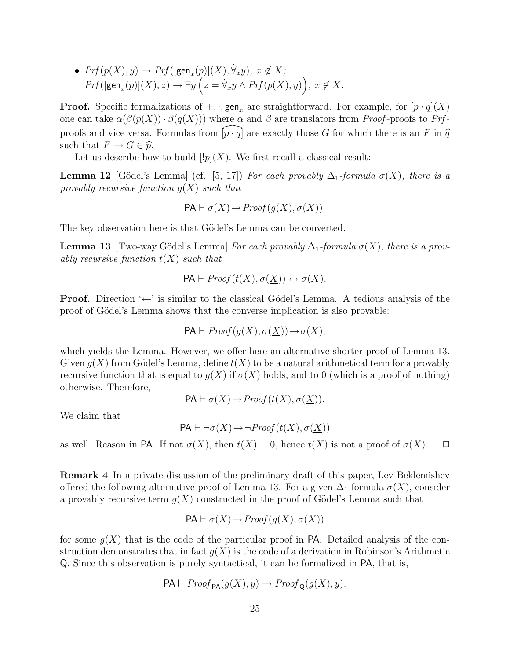•  $Prf(p(X), y) \rightarrow Prf([\textsf{gen}_x(p)](X), \forall_x y), x \notin X;$  $Prf([gen_x(p)](X), z) \rightarrow \exists y \left(z = \dot{\forall}_x y \wedge Prf(p(X), y)\right), x \not\in X.$ 

**Proof.** Specific formalizations of  $+$ ,  $\cdot$ , gen<sub>x</sub> are straightforward. For example, for  $[p \cdot q](X)$ one can take  $\alpha(\beta(p(X)) \cdot \beta(q(X)))$  where  $\alpha$  and  $\beta$  are translators from *Proof*-proofs to Prfproofs and vice versa. Formulas from  $\widehat{p \cdot q}$  are exactly those G for which there is an F in  $\widehat{q}$ such that  $F \to G \in \widehat{p}$ .

Let us describe how to build  $[!p](X)$ . We first recall a classical result:

**Lemma 12** [Gödel's Lemma] (cf. [5, 17]) For each provably  $\Delta_1$ -formula  $\sigma(X)$ , there is a provably recursive function  $q(X)$  such that

$$
PA \vdash \sigma(X) \to Proof(g(X), \sigma(\underline{X})).
$$

The key observation here is that Gödel's Lemma can be converted.

**Lemma 13** [Two-way Gödel's Lemma] For each provably  $\Delta_1$ -formula  $\sigma(X)$ , there is a provably recursive function  $t(X)$  such that

$$
\mathsf{PA}\vdash \mathit{Proof}(t(X),\sigma(\underline{X}))\leftrightarrow \sigma(X).
$$

Proof. Direction '←' is similar to the classical Gödel's Lemma. A tedious analysis of the proof of Gödel's Lemma shows that the converse implication is also provable:

$$
\mathsf{PA}\vdash Proof(g(X),\sigma(\underline{X}))\rightarrow \sigma(X),
$$

which yields the Lemma. However, we offer here an alternative shorter proof of Lemma 13. Given  $g(X)$  from Gödel's Lemma, define  $t(X)$  to be a natural arithmetical term for a provably recursive function that is equal to  $q(X)$  if  $\sigma(X)$  holds, and to 0 (which is a proof of nothing) otherwise. Therefore,

$$
PA \vdash \sigma(X) \rightarrow Proof(t(X), \sigma(\underline{X})).
$$

We claim that

$$
\mathsf{PA}\vdash\neg\sigma(X)\rightarrow\neg Proof(t(X),\sigma(\underline{X}))
$$

as well. Reason in PA. If not  $\sigma(X)$ , then  $t(X) = 0$ , hence  $t(X)$  is not a proof of  $\sigma(X)$ .  $\Box$ 

Remark 4 In a private discussion of the preliminary draft of this paper, Lev Beklemishev offered the following alternative proof of Lemma 13. For a given  $\Delta_1$ -formula  $\sigma(X)$ , consider a provably recursive term  $g(X)$  constructed in the proof of Gödel's Lemma such that

$$
PA \vdash \sigma(X) \to Proof(g(X), \sigma(\underline{X}))
$$

for some  $g(X)$  that is the code of the particular proof in PA. Detailed analysis of the construction demonstrates that in fact  $q(X)$  is the code of a derivation in Robinson's Arithmetic Q. Since this observation is purely syntactical, it can be formalized in PA, that is,

$$
PA \vdash Proof_{\mathsf{PA}}(g(X), y) \rightarrow Proof_{\mathsf{Q}}(g(X), y).
$$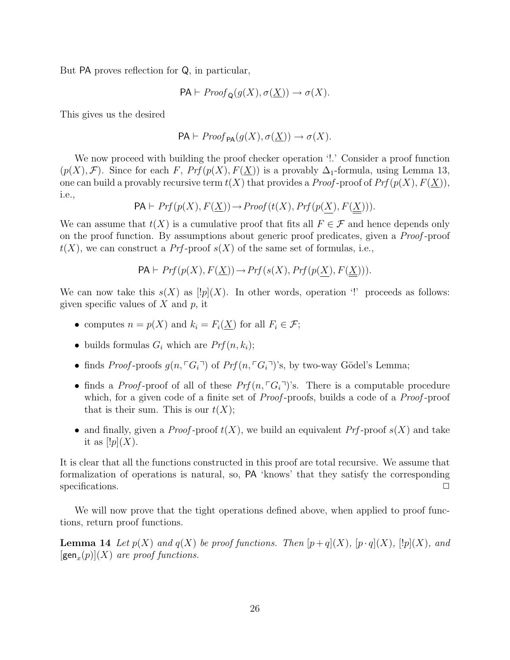But PA proves reflection for Q, in particular,

$$
\mathsf{PA} \vdash \mathit{Proof}_{\mathsf{Q}}(g(X), \sigma(\underline{X})) \to \sigma(X).
$$

This gives us the desired

$$
\mathsf{PA}\vdash \mathit{Proof}_{\mathsf{PA}}(g(X),\sigma(\underline{X}))\to \sigma(X).
$$

We now proceed with building the proof checker operation '!.' Consider a proof function  $(p(X), \mathcal{F})$ . Since for each F,  $Prf(p(X), F(X))$  is a provably  $\Delta_1$ -formula, using Lemma 13, one can build a provably recursive term  $t(X)$  that provides a *Proof*-proof of  $Prf(p(X), F(X))$ , i.e.,

$$
\mathsf{PA}\vdash \mathit{Prf}\,(p(X),F(\underline{X}))\!\rightarrow\!\mathit{Proof}\,(t(X),\mathit{Prf}\,(p(\underline{X}),F(\underline{X}))).
$$

We can assume that  $t(X)$  is a cumulative proof that fits all  $F \in \mathcal{F}$  and hence depends only on the proof function. By assumptions about generic proof predicates, given a Proof -proof  $t(X)$ , we can construct a Prf-proof  $s(X)$  of the same set of formulas, i.e.,

$$
PA \vdash Prf(p(X), F(\underline{X})) \to Prf(s(X), Prf(p(X), F(\underline{X}))).
$$

We can now take this  $s(X)$  as  $[!p](X)$ . In other words, operation '!' proceeds as follows: given specific values of  $X$  and  $p$ , it

- computes  $n = p(X)$  and  $k_i = F_i(\underline{X})$  for all  $F_i \in \mathcal{F}$ ;
- builds formulas  $G_i$  which are  $Prf(n, k_i)$ ;
- finds Proof-proofs  $g(n, \lceil G_i \rceil)$  of Prf $(n, \lceil G_i \rceil)$ 's, by two-way Gödel's Lemma;
- finds a Proof-proof of all of these  $Prf(n, \lceil G_i \rceil)$ 's. There is a computable procedure which, for a given code of a finite set of *Proof*-proofs, builds a code of a *Proof*-proof that is their sum. This is our  $t(X)$ ;
- and finally, given a *Proof*-proof  $t(X)$ , we build an equivalent *Prf*-proof  $s(X)$  and take it as  $[!p](X)$ .

It is clear that all the functions constructed in this proof are total recursive. We assume that formalization of operations is natural, so, PA 'knows' that they satisfy the corresponding specifications.

We will now prove that the tight operations defined above, when applied to proof functions, return proof functions.

**Lemma 14** Let  $p(X)$  and  $q(X)$  be proof functions. Then  $[p+q](X)$ ,  $[p\cdot q](X)$ ,  $[!p](X)$ , and  $[\text{gen}_x(p)](X)$  are proof functions.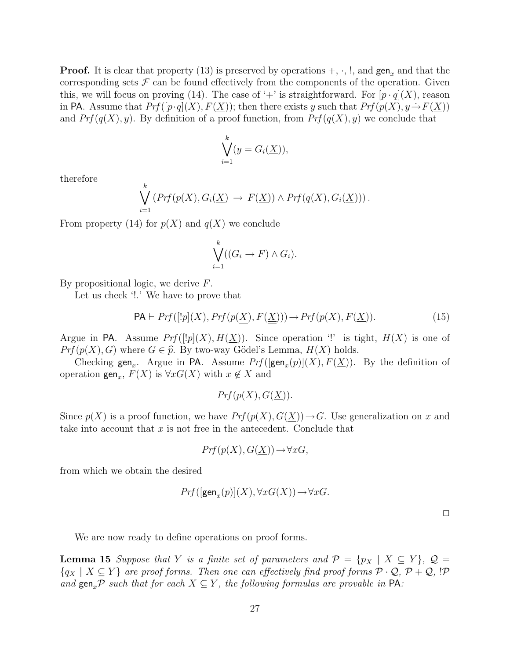**Proof.** It is clear that property (13) is preserved by operations  $+$ ,  $\cdot$ ,  $\cdot$ , and gen<sub>x</sub> and that the corresponding sets  $\mathcal F$  can be found effectively from the components of the operation. Given this, we will focus on proving (14). The case of '+' is straightforward. For  $[p \cdot q](X)$ , reason in PA. Assume that  $Prf([p \cdot q](X), F(X))$ ; then there exists y such that  $Prf(p(X), y \rightarrow F(X))$ and  $Prf(q(X), y)$ . By definition of a proof function, from  $Prf(q(X), y)$  we conclude that

$$
\bigvee_{i=1}^{k} (y = G_i(\underline{X})),
$$

therefore

$$
\bigvee_{i=1}^k \left( Prf(p(X), G_i(\underline{X}) \rightarrow F(\underline{X})) \land Prf(q(X), G_i(\underline{X})) \right).
$$

From property (14) for  $p(X)$  and  $q(X)$  we conclude

$$
\bigvee_{i=1}^k ((G_i \to F) \land G_i).
$$

By propositional logic, we derive F.

Let us check '!.' We have to prove that

$$
PA \vdash Prf([!p](X), Prf(p(\underline{X}), F(\underline{\underline{X}}))) \to Prf(p(X), F(\underline{X})).
$$
\n(15)

Argue in PA. Assume  $Prf([P|(X), H(\underline{X}))$ . Since operation '!' is tight,  $H(X)$  is one of  $Prf(p(X), G)$  where  $G \in \hat{p}$ . By two-way Gödel's Lemma,  $H(X)$  holds.

Checking gen<sub>x</sub>. Argue in PA. Assume  $Prf([gen_x(p)](X), F(\underline{X}))$ . By the definition of operation  $\text{gen}_x$ ,  $F(X)$  is  $\forall x G(X)$  with  $x \notin X$  and

$$
Prf(p(X), G(\underline{X})).
$$

Since  $p(X)$  is a proof function, we have  $Prf(p(X), G(\underline{X})) \rightarrow G$ . Use generalization on x and take into account that  $x$  is not free in the antecedent. Conclude that

$$
Prf(p(X), G(\underline{X})) \to \forall xG,
$$

from which we obtain the desired

$$
Prf([\text{gen}_x(p)](X), \forall x G(\underline{X})) \rightarrow \forall x G.
$$

 $\Box$ 

We are now ready to define operations on proof forms.

**Lemma 15** Suppose that Y is a finite set of parameters and  $\mathcal{P} = \{p_X \mid X \subseteq Y\}$ ,  $\mathcal{Q} =$  ${q_X \mid X \subseteq Y}$  are proof forms. Then one can effectively find proof forms  $P \cdot Q$ ,  $P + Q$ , !P and gen<sub>x</sub>P such that for each  $X \subseteq Y$ , the following formulas are provable in PA: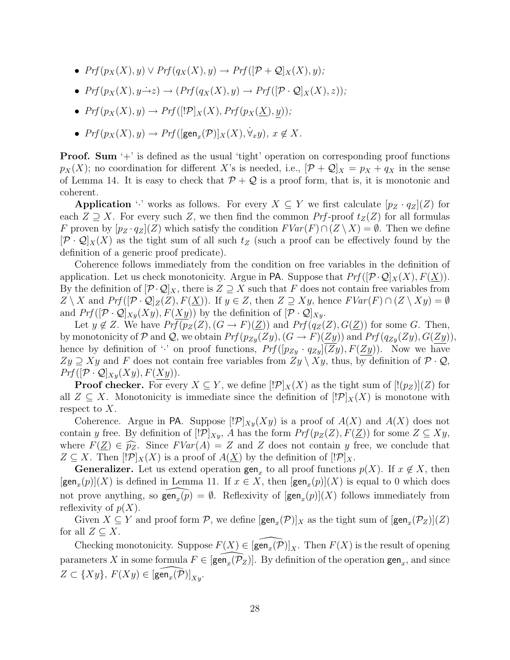- $Prf(p_X(X), y) \vee Prf(q_X(X), y) \rightarrow Prf((\mathcal{P} + \mathcal{Q})_X(X), y);$
- $Prf(p_X(X), y \rightarrow z) \rightarrow (Prf(q_X(X), y) \rightarrow Prf([\mathcal{P} \cdot \mathcal{Q}]_X(X), z));$
- $Prf(p_X(X), y) \rightarrow Prf([P|_X(X), Prf(p_X(\underline{X}), y));$
- $Prf(p_X(X), y) \rightarrow Prf([\text{gen}_x(\mathcal{P})]_X(X), \dot{\forall}_x y), x \notin X.$

Proof. Sum '+' is defined as the usual 'tight' operation on corresponding proof functions  $p_X(X)$ ; no coordination for different X's is needed, i.e.,  $[\mathcal{P} + \mathcal{Q}]_X = p_X + q_X$  in the sense of Lemma 14. It is easy to check that  $P + Q$  is a proof form, that is, it is monotonic and coherent.

Application '·' works as follows. For every  $X \subseteq Y$  we first calculate  $[p_Z \cdot q_Z](Z)$  for each  $Z \supseteq X$ . For every such Z, we then find the common Prf-proof  $t_Z(Z)$  for all formulas F proven by  $[p_Z \cdot q_Z](Z)$  which satisfy the condition  $FVar(F) \cap (Z \setminus X) = \emptyset$ . Then we define  $[\mathcal{P} \cdot \mathcal{Q}]_X(X)$  as the tight sum of all such  $t_Z$  (such a proof can be effectively found by the definition of a generic proof predicate).

Coherence follows immediately from the condition on free variables in the definition of application. Let us check monotonicity. Argue in PA. Suppose that  $Prf([\mathcal{P} \cdot \mathcal{Q}]_X(X), F(\underline{X}))$ . By the definition of  $[\mathcal{P}\cdot\mathcal{Q}]_X$ , there is  $Z \supseteq X$  such that F does not contain free variables from  $Z \setminus X$  and  $Prf([P \cdot Q]_Z(Z), F(\underline{X}))$ . If  $y \in Z$ , then  $Z \supseteq Xy$ , hence  $FVar(F) \cap (Z \setminus Xy) = \emptyset$ and  $Prf((\mathcal{P} \cdot \mathcal{Q})_{X}\mathcal{Y}(X\mathcal{Y}), F(X\mathcal{Y}))$  by the definition of  $[\mathcal{P} \cdot \mathcal{Q}]_{X\mathcal{Y}}$ .

Let  $y \notin Z$ . We have  $Prf(p_Z(Z), (G \to F)(Z))$  and  $Prf(q_Z(Z), G(Z))$  for some G. Then, by monotonicity of P and Q, we obtain  $Prf(p_{Zy}(Zy), (G \rightarrow F)(Zy))$  and  $Prf(q_{Zy}(Zy), G(Zy))$ , hence by definition of '' on proof functions,  $Prf([p_{Zy} \cdot q_{Zy}](\overline{Zy}), F(Zy))$ . Now we have  $Zy \supseteq Xy$  and F does not contain free variables from  $Zy \setminus Xy$ , thus, by definition of  $\mathcal{P} \cdot \mathcal{Q}$ ,  $Prf([\mathcal{P} \cdot \mathcal{Q}]_{Xy}(Xy), F(Xy)).$ 

**Proof checker.** For every  $X \subseteq Y$ , we define  $\left|\mathcal{P}|_X(X)$  as the tight sum of  $\left|\mathcal{P}|_Z\right|\left(Z\right)$  for all  $Z \subseteq X$ . Monotonicity is immediate since the definition of  $\mathcal{P}|X(X)|$  is monotone with respect to  $X$ .

Coherence. Argue in PA. Suppose  $\mathcal{P}|_{X_y}(X_y)$  is a proof of  $A(X)$  and  $A(X)$  does not contain y free. By definition of  $[\mathcal{P}]_{X,y}$ , A has the form  $Prf(p_Z(Z), F(\underline{Z}))$  for some  $Z \subseteq Xy$ , where  $F(\underline{Z}) \in \widehat{p_Z}$ . Since  $FVar(A) = Z$  and Z does not contain y free, we conclude that  $Z \subseteq X$ . Then  $[!P]_X(X)$  is a proof of  $A(\underline{X})$  by the definition of  $[!P]_X$ .

**Generalizer.** Let us extend operation  $\text{gen}_x$  to all proof functions  $p(X)$ . If  $x \notin X$ , then  $[\text{gen}_x(p)](X)$  is defined in Lemma 11. If  $x \in X$ , then  $[\text{gen}_x(p)](X)$  is equal to 0 which does not prove anything, so  $\widehat{\mathsf{gen}_x(p)} = \emptyset$ . Reflexivity of  $[\mathsf{gen}_x(p)](X)$  follows immediately from reflexivity of  $p(X)$ .

Given  $X \subseteq Y$  and proof form  $P$ , we define  $[\text{gen}_x(P)]_X$  as the tight sum of  $[\text{gen}_x(P_Z)](Z)$ for all  $Z \subseteq X$ .

Checking monotonicity. Suppose  $F(X) \in \widehat{gen_x(\mathcal{P})}|_X$ . Then  $F(X)$  is the result of opening parameters X in some formula  $F \in [\widehat{\text{gen}_x(\mathcal{P}_Z)}]$ . By definition of the operation gen<sub>x</sub>, and since  $Z \subset \{Xy\}, F(Xy) \in [\widehat{\mathsf{gen}_x(\mathcal{P})}]_{Xy}.$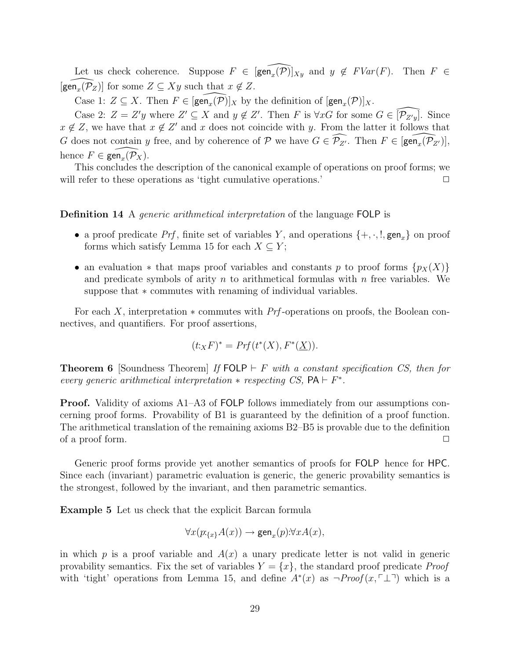Let us check coherence. Suppose  $F \in \widehat{[\text{gen}_x(\mathcal{P})]}_{Xy}$  and  $y \notin FVar(F)$ . Then  $F \in$  $\widehat{[\textsf{gen}_x(\mathcal{P}_Z)]}$  for some  $Z \subseteq Xy$  such that  $x \notin Z$ .

Case 1:  $Z \subseteq X$ . Then  $F \in [\widehat{\text{gen}_x(\mathcal{P})}]_X$  by the definition of  $[\text{gen}_x(\mathcal{P})]_X$ .

Case 2:  $Z = Z'y$  where  $Z' \subseteq X$  and  $y \notin Z'$ . Then F is  $\forall xG$  for some  $G \in \widehat{[P_{Z'y}]}$ . Since  $x \notin \mathbb{Z}$ , we have that  $x \notin \mathbb{Z}'$  and x does not coincide with y. From the latter it follows that G does not contain y free, and by coherence of  $P$  we have  $G \in \widehat{\mathcal{P}_{Z'}}$ . Then  $F \in \widehat{[\text{gen}_x(\mathcal{P}_{Z'})]}$ , hence  $F \in \widehat{\text{gen}_x(\mathcal{P}_X)}$ .

This concludes the description of the canonical example of operations on proof forms; we will refer to these operations as 'tight cumulative operations.'  $\Box$ 

Definition 14 A generic arithmetical interpretation of the language FOLP is

- a proof predicate Prf, finite set of variables Y, and operations  $\{+, \cdot, \cdot\}$ , gen<sub>x</sub> $\}$  on proof forms which satisfy Lemma 15 for each  $X \subseteq Y$ ;
- an evaluation  $*$  that maps proof variables and constants p to proof forms  $\{p_X(X)\}\$ and predicate symbols of arity n to arithmetical formulas with  $n$  free variables. We suppose that  $*$  commutes with renaming of individual variables.

For each X, interpretation  $*$  commutes with Prf-operations on proofs, the Boolean connectives, and quantifiers. For proof assertions,

$$
(t:_{X} F)^{*} = Prf(t^{*}(X), F^{*}(\underline{X})).
$$

**Theorem 6** [Soundness Theorem] If  $FOLP \vdash F$  with a constant specification CS, then for every generic arithmetical interpretation  $*$  respecting CS,  $PA \vdash F^*$ .

Proof. Validity of axioms A1–A3 of FOLP follows immediately from our assumptions concerning proof forms. Provability of B1 is guaranteed by the definition of a proof function. The arithmetical translation of the remaining axioms B2–B5 is provable due to the definition of a proof form.  $\Box$ 

Generic proof forms provide yet another semantics of proofs for FOLP hence for HPC. Since each (invariant) parametric evaluation is generic, the generic provability semantics is the strongest, followed by the invariant, and then parametric semantics.

Example 5 Let us check that the explicit Barcan formula

$$
\forall x (p:_{\{x\}} A(x)) \rightarrow \text{gen}_x(p) : \forall x A(x),
$$

in which p is a proof variable and  $A(x)$  a unary predicate letter is not valid in generic provability semantics. Fix the set of variables  $Y = \{x\}$ , the standard proof predicate *Proof* with 'tight' operations from Lemma 15, and define  $A^*(x)$  as  $\neg Proof(x, \ulcorner \perp \urcorner)$  which is a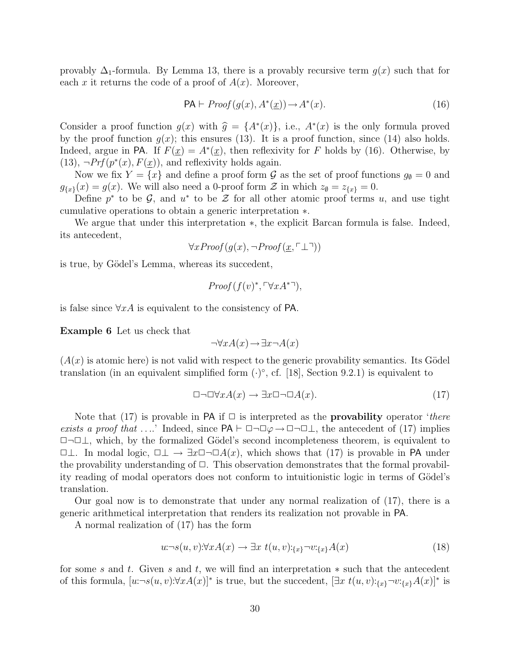provably  $\Delta_1$ -formula. By Lemma 13, there is a provably recursive term  $g(x)$  such that for each x it returns the code of a proof of  $A(x)$ . Moreover,

$$
PA \vdash Proof(g(x), A^*(x)) \to A^*(x). \tag{16}
$$

Consider a proof function  $g(x)$  with  $\hat{g} = \{A^*(x)\}\$ , i.e.,  $A^*(x)$  is the only formula proved<br>by the proof function  $g(x)$ , this ensures (12). It is a proof function since (14) also holds by the proof function  $g(x)$ ; this ensures (13). It is a proof function, since (14) also holds. Indeed, argue in PA. If  $F(\underline{x}) = A^*(\underline{x})$ , then reflexivity for F holds by (16). Otherwise, by  $(13), \neg Prf(p^*(x), F(\underline{x}))$ , and reflexivity holds again.

Now we fix  $Y = \{x\}$  and define a proof form  $\mathcal G$  as the set of proof functions  $g_{\emptyset} = 0$  and  $g_{\{x\}}(x) = g(x)$ . We will also need a 0-proof form  $\mathcal{Z}$  in which  $z_{\emptyset} = z_{\{x\}} = 0$ .

Define  $p^*$  to be  $\mathcal{G}$ , and  $u^*$  to be  $\mathcal{Z}$  for all other atomic proof terms u, and use tight cumulative operations to obtain a generic interpretation ∗.

We argue that under this interpretation ∗, the explicit Barcan formula is false. Indeed, its antecedent,

$$
\forall x Proof (g(x), \neg Proof(\underline{x}, \ulcorner \bot \urcorner))
$$

is true, by Gödel's Lemma, whereas its succedent,

$$
Proof(f(v)^*, \ulcorner \forall x A^{*}\urcorner),
$$

is false since  $\forall x A$  is equivalent to the consistency of PA.

Example 6 Let us check that

$$
\neg \forall x A(x) \rightarrow \exists x \neg A(x)
$$

 $(A(x))$  is atomic here) is not valid with respect to the generic provability semantics. Its Gödel translation (in an equivalent simplified form  $(·)°$ , cf. [18], Section 9.2.1) is equivalent to

$$
\Box \neg \Box \forall x A(x) \to \exists x \Box \neg \Box A(x). \tag{17}
$$

Note that (17) is provable in PA if  $\Box$  is interpreted as the **provability** operator 'there exists a proof that ....' Indeed, since  $PA \vdash \Box \neg \Box \varphi \rightarrow \Box \neg \Box \bot$ , the antecedent of (17) implies ✷¬✷⊥, which, by the formalized G¨odel's second incompleteness theorem, is equivalent to  $\Box \bot$ . In modal logic,  $\Box \bot \rightarrow \exists x \Box \neg \Box A(x)$ , which shows that (17) is provable in PA under the provability understanding of  $\Box$ . This observation demonstrates that the formal provability reading of modal operators does not conform to intuitionistic logic in terms of Gödel's translation.

Our goal now is to demonstrate that under any normal realization of (17), there is a generic arithmetical interpretation that renders its realization not provable in PA.

A normal realization of (17) has the form

$$
u \neg s(u, v) \forall x A(x) \rightarrow \exists x \ t(u, v) :_{\{x\}} \neg v :_{\{x\}} A(x)
$$
\n
$$
(18)
$$

for some s and t. Given s and t, we will find an interpretation ∗ such that the antecedent of this formula,  $[u \neg s(u, v): \forall x A(x)]^*$  is true, but the succedent,  $[\exists x \ t(u, v):_{\{x\}} \neg v:_{\{x\}} A(x)]^*$  is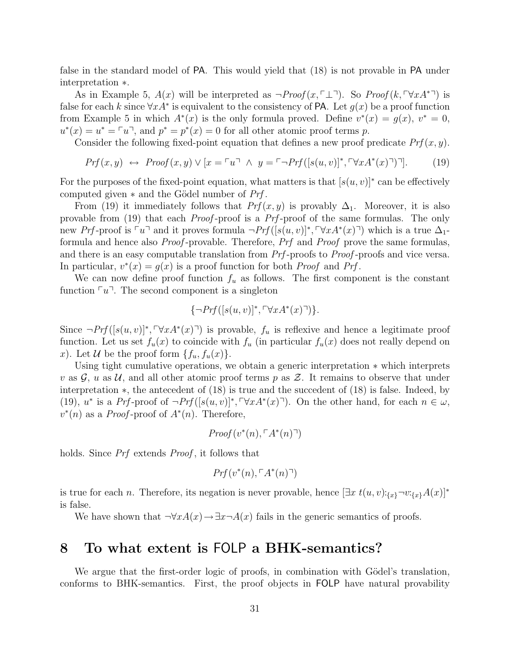false in the standard model of PA. This would yield that (18) is not provable in PA under interpretation ∗.

As in Example 5,  $A(x)$  will be interpreted as  $\neg Proof(x, \ulcorner \perp \urcorner)$ . So  $Proof(k, \ulcorner \forall xA^{*}\urcorner)$  is false for each k since  $\forall x A^*$  is equivalent to the consistency of PA. Let  $g(x)$  be a proof function from Example 5 in which  $A^*(x)$  is the only formula proved. Define  $v^*(x) = g(x)$ ,  $v^* = 0$ ,  $u^*(x) = u^* = \ulcorner u \urcorner$ , and  $p^* = p^*(x) = 0$  for all other atomic proof terms p.

Consider the following fixed-point equation that defines a new proof predicate  $Prf(x, y)$ .

$$
Prf(x,y) \leftrightarrow \text{Proof}(x,y) \lor [x = \ulcorner u \urcorner \land y = \ulcorner \neg \text{Prf}([s(u,v)]^*, \ulcorner \forall x A^*(x) \urcorner) \urcorner]. \tag{19}
$$

For the purposes of the fixed-point equation, what matters is that  $[s(u, v)]^*$  can be effectively computed given  $*$  and the Gödel number of  $Prf$ .

From (19) it immediately follows that  $Prf(x, y)$  is provably  $\Delta_1$ . Moreover, it is also provable from (19) that each Proof -proof is a Prf -proof of the same formulas. The only new Prf-proof is  $\ulcorner u\urcorner$  and it proves formula  $\neg Prf([s(u, v)]^*, \ulcorner \forall x A^*(x)\urcorner)$  which is a true  $\Delta_1$ formula and hence also Proof -provable. Therefore, Prf and Proof prove the same formulas, and there is an easy computable translation from  $Prf$ -proofs to Proof-proofs and vice versa. In particular,  $v^*(x) = g(x)$  is a proof function for both *Proof* and *Prf*.

We can now define proof function  $f_u$  as follows. The first component is the constant function  $\lceil u \rceil$ . The second component is a singleton

$$
\{\neg Prf([s(u,v)]^*, \ulcorner \forall x A^*(x) \urcorner)\}.
$$

Since  $\neg Prf([s(u, v)]^*, \ulcorner \forall x A^*(x) \urcorner)$  is provable,  $f_u$  is reflexive and hence a legitimate proof function. Let us set  $f_u(x)$  to coincide with  $f_u$  (in particular  $f_u(x)$  does not really depend on x). Let U be the proof form  $\{f_u, f_u(x)\}.$ 

Using tight cumulative operations, we obtain a generic interpretation ∗ which interprets v as  $\mathcal{G}, u$  as  $\mathcal{U},$  and all other atomic proof terms p as  $\mathcal{Z}$ . It remains to observe that under interpretation ∗, the antecedent of (18) is true and the succedent of (18) is false. Indeed, by (19),  $u^*$  is a Prf-proof of  $\neg Prf([s(u, v)]^*, \ulcorner \forall x A^*(x) \urcorner)$ . On the other hand, for each  $n \in \omega$ ,  $v^*(n)$  as a *Proof*-proof of  $A^*(n)$ . Therefore,

$$
Proof(v^*(n), \ulcorner A^*(n) \urcorner)
$$

holds. Since *Prf* extends *Proof*, it follows that

$$
Prf(v^*(n), \ulcorner A^*(n) \urcorner)
$$

is true for each n. Therefore, its negation is never provable, hence  $[\exists x \ t(u, v):_{\{x\}}\neg v:\{x\}A(x)]^*$ is false.

We have shown that  $\neg \forall x A(x) \rightarrow \exists x \neg A(x)$  fails in the generic semantics of proofs.

# 8 To what extent is FOLP a BHK-semantics?

We argue that the first-order logic of proofs, in combination with Gödel's translation, conforms to BHK-semantics. First, the proof objects in FOLP have natural provability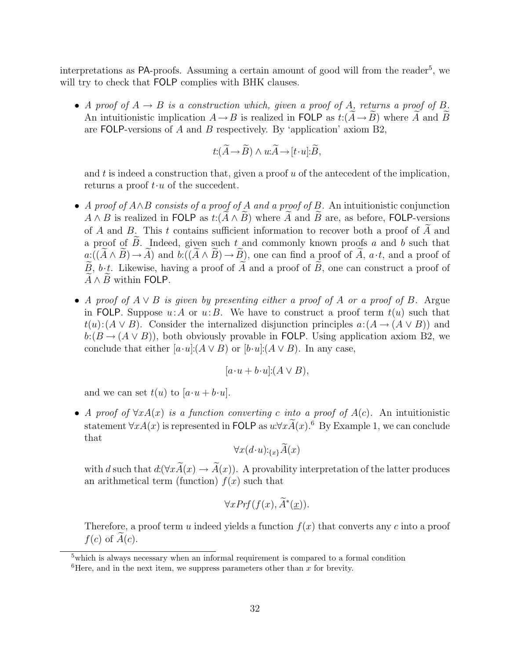interpretations as PA-proofs. Assuming a certain amount of good will from the reader<sup>5</sup>, we will try to check that **FOLP** complies with BHK clauses.

• A proof of  $A \rightarrow B$  is a construction which, given a proof of A, returns a proof of B. An intuitionistic implication  $A \to B$  is realized in FOLP as  $t: (\widetilde{A} \to \widetilde{B})$  where  $\widetilde{A}$  and  $\widetilde{B}$ are FOLP-versions of A and B respectively. By 'application' axiom B2,

$$
t: (\widetilde{A} \to \widetilde{B}) \wedge u: \widetilde{A} \to [t \cdot u]: \widetilde{B},
$$

and  $t$  is indeed a construction that, given a proof  $u$  of the antecedent of the implication, returns a proof  $t \cdot u$  of the succedent.

- A proof of  $A \wedge B$  consists of a proof of A and a proof of B. An intuitionistic conjunction  $A \wedge B$  is realized in FOLP as  $t: (\widetilde{A} \wedge \widetilde{B})$  where  $\widetilde{A}$  and  $\widetilde{B}$  are, as before, FOLP-versions of A and B. This t contains sufficient information to recover both a proof of  $\tilde{A}$  and a proof of  $B$ . Indeed, given such  $t$  and commonly known proofs  $a$  and  $b$  such that  $a:((\widetilde{A}\wedge\widetilde{B})\rightarrow\widetilde{A})$  and  $b:((\widetilde{A}\wedge\widetilde{B})\rightarrow\widetilde{B})$ , one can find a proof of  $\widetilde{A}$ ,  $a\cdot t$ , and a proof of  $\widetilde{B}$ , b·t. Likewise, having a proof of  $\widetilde{A}$  and a proof of  $\widetilde{B}$ , one can construct a proof of  $\overline{A}\wedge\overline{B}$  within FOLP.
- A proof of  $A \vee B$  is given by presenting either a proof of A or a proof of B. Argue in FOLP. Suppose  $u:A$  or  $u:B$ . We have to construct a proof term  $t(u)$  such that  $t(u): (A \vee B)$ . Consider the internalized disjunction principles  $a:(A \rightarrow (A \vee B))$  and  $b:(B\to (A\vee B))$ , both obviously provable in FOLP. Using application axiom B2, we conclude that either  $[a \cdot u]:(A \vee B)$  or  $[b \cdot u]:(A \vee B)$ . In any case,

$$
[a \cdot u + b \cdot u] \colon (A \vee B),
$$

and we can set  $t(u)$  to  $[a\cdot u + b\cdot u]$ .

• A proof of  $\forall x A(x)$  is a function converting c into a proof of  $A(c)$ . An intuitionistic statement  $\forall x A(x)$  is represented in FOLP as  $u:\forall x \widetilde{A}(x)$ .<sup>6</sup> By Example 1, we can conclude that

$$
\forall x (d \cdot u):_{\{x\}} \widetilde{A}(x)
$$

with d such that  $d: (\forall x \widetilde{A}(x) \rightarrow \widetilde{A}(x))$ . A provability interpretation of the latter produces an arithmetical term (function)  $f(x)$  such that

$$
\forall x Prf(f(x), \widetilde{A}^*(\underline{x})).
$$

Therefore, a proof term u indeed yields a function  $f(x)$  that converts any c into a proof  $f(c)$  of  $A(c)$ .

 $5$  which is always necessary when an informal requirement is compared to a formal condition

 ${}^{6}$ Here, and in the next item, we suppress parameters other than x for brevity.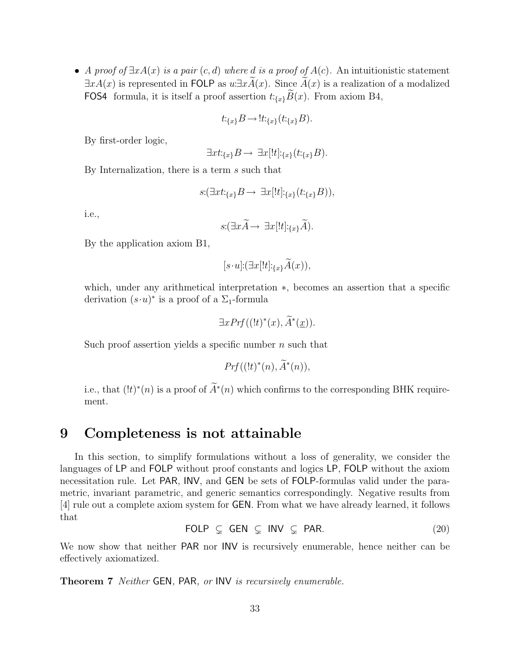• A proof of  $\exists x A(x)$  is a pair  $(c, d)$  where d is a proof of  $A(c)$ . An intuitionistic statement  $\exists x A(x)$  is represented in FOLP as  $u \exists x A(x)$ . Since  $A(x)$  is a realization of a modalized FOS4 formula, it is itself a proof assertion  $t:_{\{x\}}\tilde{B}(x)$ . From axiom B4,

$$
t:_{\{x\}}B \to \text{!}t:_{\{x\}}(t:_{\{x\}}B).
$$

By first-order logic,

$$
\exists xt:_{\{x\}}B \to \exists x[!t]:_{\{x\}}(t:_{\{x\}}B).
$$

By Internalization, there is a term s such that

$$
s: (\exists xt:_{\{x\}} B \to \exists x[!t]:_{\{x\}} (t:_{\{x\}} B)),
$$

i.e.,

$$
s: (\exists x \widetilde{A} \rightarrow \exists x [!t] :_{\{x\}} \widetilde{A}).
$$

By the application axiom B1,

$$
[s\cdot u]:(\exists x[!t] :_{\{x\}} \tilde{A}(x)),
$$

which, under any arithmetical interpretation ∗, becomes an assertion that a specific derivation  $(s \cdot u)^*$  is a proof of a  $\Sigma_1$ -formula

$$
\exists x Pr f((!t)^*(x), \widetilde{A}^*(\underline{x})).
$$

Such proof assertion yields a specific number  $n$  such that

$$
Prf((!t)^*(n), \widetilde{A}^*(n)),
$$

i.e., that  $(lt)^*(n)$  is a proof of  $\tilde{A}^*(n)$  which confirms to the corresponding BHK requirement.

# 9 Completeness is not attainable

In this section, to simplify formulations without a loss of generality, we consider the languages of LP and FOLP without proof constants and logics LP, FOLP without the axiom necessitation rule. Let PAR, INV, and GEN be sets of FOLP-formulas valid under the parametric, invariant parametric, and generic semantics correspondingly. Negative results from [4] rule out a complete axiom system for GEN. From what we have already learned, it follows that

$$
\text{FOLP} \subseteq \text{GEN} \subseteq \text{INV} \subseteq \text{PAR.} \tag{20}
$$

We now show that neither PAR nor INV is recursively enumerable, hence neither can be effectively axiomatized.

Theorem 7 Neither GEN, PAR, or INV is recursively enumerable.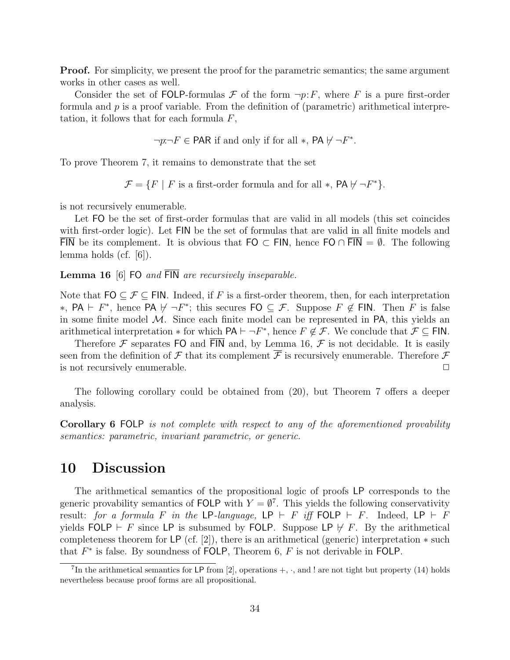**Proof.** For simplicity, we present the proof for the parametric semantics; the same argument works in other cases as well.

Consider the set of FOLP-formulas  $\mathcal F$  of the form  $\neg p: F$ , where F is a pure first-order formula and  $p$  is a proof variable. From the definition of (parametric) arithmetical interpretation, it follows that for each formula  $F$ ,

$$
\neg p:\neg F \in \mathsf{PAR} \text{ if and only if for all } *, \mathsf{PA} \not\vdash \neg F^*.
$$

To prove Theorem 7, it remains to demonstrate that the set

 $\mathcal{F} = \{ F \mid F \text{ is a first-order formula and for all } *, \text{ PA } \forall \neg F^* \}.$ 

is not recursively enumerable.

Let FO be the set of first-order formulas that are valid in all models (this set coincides with first-order logic). Let FIN be the set of formulas that are valid in all finite models and FIN be its complement. It is obvious that FO  $\subset$  FIN, hence FO  $\cap$  FIN =  $\emptyset$ . The following lemma holds (cf. [6]).

**Lemma 16** [6] FO and  $\overline{FIN}$  are recursively inseparable.

Note that  $FO \subseteq \mathcal{F} \subseteq FIN$ . Indeed, if F is a first-order theorem, then, for each interpretation \*, PA  $\vdash$  F<sup>\*</sup>, hence PA  $\nvdash \neg F^*$ ; this secures FO ⊆ F. Suppose F ∉ FIN. Then F is false in some finite model  $\mathcal{M}$ . Since each finite model can be represented in PA, this yields an arithmetical interpretation  $*$  for which  $PA \vdash \neg F^*$ , hence  $F \notin \mathcal{F}$ . We conclude that  $\mathcal{F} \subseteq FIN$ .

Therefore  $\mathcal F$  separates FO and  $\overline{FIN}$  and, by Lemma 16,  $\mathcal F$  is not decidable. It is easily seen from the definition of  $\mathcal F$  that its complement  $\overline{\mathcal F}$  is recursively enumerable. Therefore  $\mathcal F$ is not recursively enumerable.  $\Box$ 

The following corollary could be obtained from (20), but Theorem 7 offers a deeper analysis.

Corollary 6 FOLP is not complete with respect to any of the aforementioned provability semantics: parametric, invariant parametric, or generic.

## 10 Discussion

The arithmetical semantics of the propositional logic of proofs LP corresponds to the generic provability semantics of FOLP with  $Y = \emptyset^7$ . This yields the following conservativity result: for a formula F in the LP-language, LP  $\vdash$  F iff FOLP  $\vdash$  F. Indeed, LP  $\vdash$  F yields FOLP  $\vdash$  F since LP is subsumed by FOLP. Suppose LP  $\nvdash$  F. By the arithmetical completeness theorem for LP (cf. [2]), there is an arithmetical (generic) interpretation  $*$  such that  $F^*$  is false. By soundness of FOLP, Theorem 6,  $F$  is not derivable in FOLP.

<sup>&</sup>lt;sup>7</sup>In the arithmetical semantics for LP from [2], operations  $+$ ,  $\cdot$ , and ! are not tight but property (14) holds nevertheless because proof forms are all propositional.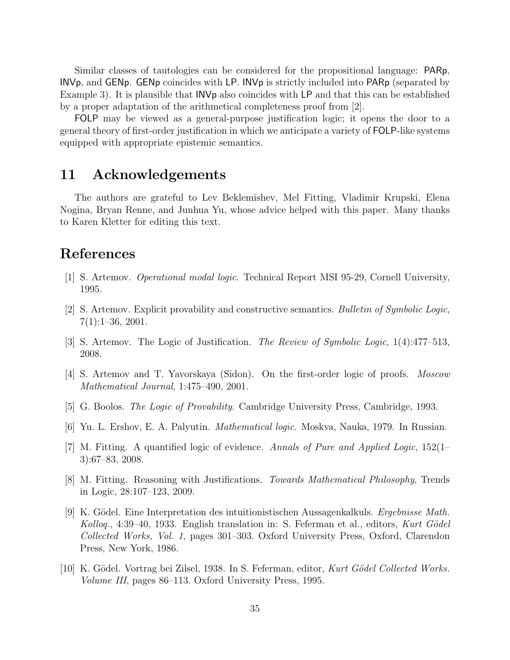Similar classes of tautologies can be considered for the propositional language: PARp, INVp, and GENp. GENp coincides with LP. INVp is strictly included into PARp (separated by Example 3). It is plausible that INVp also coincides with LP and that this can be established by a proper adaptation of the arithmetical completeness proof from [2].

FOLP may be viewed as a general-purpose justification logic; it opens the door to a general theory of first-order justification in which we anticipate a variety of FOLP-like systems equipped with appropriate epistemic semantics.

# 11 Acknowledgements

The authors are grateful to Lev Beklemishev, Mel Fitting, Vladimir Krupski, Elena Nogina, Bryan Renne, and Junhua Yu, whose advice helped with this paper. Many thanks to Karen Kletter for editing this text.

# References

- [1] S. Artemov. Operational modal logic. Technical Report MSI 95-29, Cornell University, 1995.
- [2] S. Artemov. Explicit provability and constructive semantics. Bulletin of Symbolic Logic, 7(1):1–36, 2001.
- [3] S. Artemov. The Logic of Justification. The Review of Symbolic Logic, 1(4):477–513, 2008.
- [4] S. Artemov and T. Yavorskaya (Sidon). On the first-order logic of proofs. Moscow Mathematical Journal, 1:475–490, 2001.
- [5] G. Boolos. The Logic of Provability. Cambridge University Press, Cambridge, 1993.
- [6] Yu. L. Ershov, E. A. Palyutin. Mathematical logic. Moskva, Nauka, 1979. In Russian.
- [7] M. Fitting. A quantified logic of evidence. Annals of Pure and Applied Logic, 152(1– 3):67–83, 2008.
- [8] M. Fitting. Reasoning with Justifications. Towards Mathematical Philosophy, Trends in Logic, 28:107–123, 2009.
- [9] K. Gödel. Eine Interpretation des intuitionistischen Aussagenkalkuls. Ergebnisse Math. Kolloq., 4:39–40, 1933. English translation in: S. Feferman et al., editors, Kurt Gödel Collected Works, Vol. 1, pages 301–303. Oxford University Press, Oxford, Clarendon Press, New York, 1986.
- [10] K. Gödel. Vortrag bei Zilsel, 1938. In S. Feferman, editor, Kurt Gödel Collected Works. Volume III, pages 86–113. Oxford University Press, 1995.